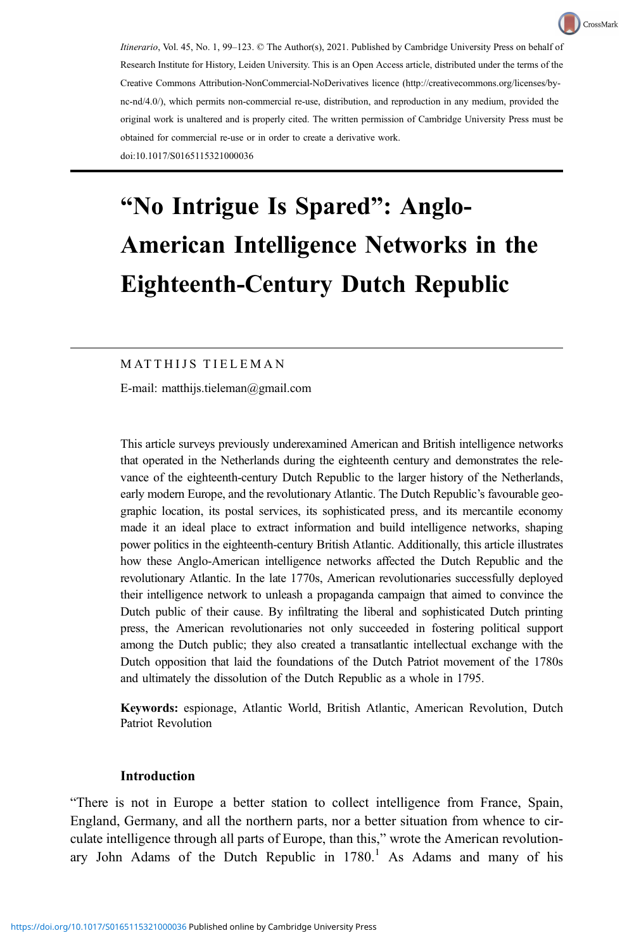Itinerario, Vol. 45, No. 1, 99–123. © The Author(s), 2021. Published by Cambridge University Press on behalf of Research Institute for History, Leiden University. This is an Open Access article, distributed under the terms of the Creative Commons Attribution-NonCommercial-NoDerivatives licence ([http://creativecommons.org/licenses/by](http://creativecommons.org/licenses/by-nc-nd/4.0/)[nc-nd/4.0/\)](http://creativecommons.org/licenses/by-nc-nd/4.0/), which permits non-commercial re-use, distribution, and reproduction in any medium, provided the original work is unaltered and is properly cited. The written permission of Cambridge University Press must be obtained for commercial re-use or in order to create a derivative work. doi:10.1017/S0165115321000036

CrossMark

# "No Intrigue Is Spared": Anglo-American Intelligence Networks in the Eighteenth-Century Dutch Republic

## M AT THIJS TIELEMAN

E-mail: [matthijs.tieleman@gmail.com](mailto:matthijs.tieleman@gmail.com)

This article surveys previously underexamined American and British intelligence networks that operated in the Netherlands during the eighteenth century and demonstrates the relevance of the eighteenth-century Dutch Republic to the larger history of the Netherlands, early modern Europe, and the revolutionary Atlantic. The Dutch Republic's favourable geographic location, its postal services, its sophisticated press, and its mercantile economy made it an ideal place to extract information and build intelligence networks, shaping power politics in the eighteenth-century British Atlantic. Additionally, this article illustrates how these Anglo-American intelligence networks affected the Dutch Republic and the revolutionary Atlantic. In the late 1770s, American revolutionaries successfully deployed their intelligence network to unleash a propaganda campaign that aimed to convince the Dutch public of their cause. By infiltrating the liberal and sophisticated Dutch printing press, the American revolutionaries not only succeeded in fostering political support among the Dutch public; they also created a transatlantic intellectual exchange with the Dutch opposition that laid the foundations of the Dutch Patriot movement of the 1780s and ultimately the dissolution of the Dutch Republic as a whole in 1795.

Keywords: espionage, Atlantic World, British Atlantic, American Revolution, Dutch Patriot Revolution

## Introduction

"There is not in Europe a better station to collect intelligence from France, Spain, England, Germany, and all the northern parts, nor a better situation from whence to circulate intelligence through all parts of Europe, than this," wrote the American revolutionary John Adams of the Dutch Republic in  $1780<sup>1</sup>$  As Adams and many of his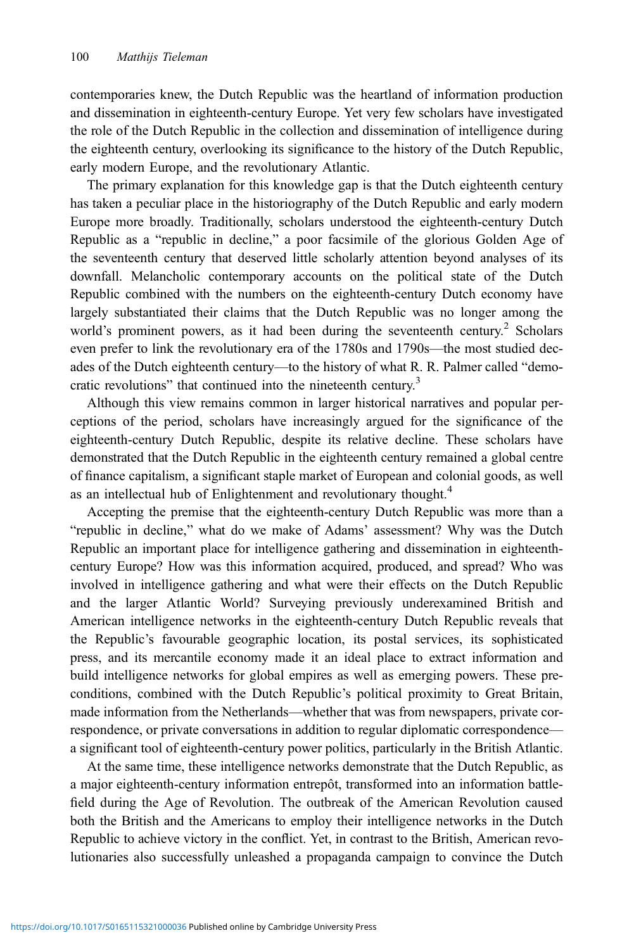contemporaries knew, the Dutch Republic was the heartland of information production and dissemination in eighteenth-century Europe. Yet very few scholars have investigated the role of the Dutch Republic in the collection and dissemination of intelligence during the eighteenth century, overlooking its significance to the history of the Dutch Republic, early modern Europe, and the revolutionary Atlantic.

The primary explanation for this knowledge gap is that the Dutch eighteenth century has taken a peculiar place in the historiography of the Dutch Republic and early modern Europe more broadly. Traditionally, scholars understood the eighteenth-century Dutch Republic as a "republic in decline," a poor facsimile of the glorious Golden Age of the seventeenth century that deserved little scholarly attention beyond analyses of its downfall. Melancholic contemporary accounts on the political state of the Dutch Republic combined with the numbers on the eighteenth-century Dutch economy have largely substantiated their claims that the Dutch Republic was no longer among the world's prominent powers, as it had been during the seventeenth century.<sup>2</sup> Scholars even prefer to link the revolutionary era of the 1780s and 1790s—the most studied decades of the Dutch eighteenth century—to the history of what R. R. Palmer called "democratic revolutions" that continued into the nineteenth century.<sup>3</sup>

Although this view remains common in larger historical narratives and popular perceptions of the period, scholars have increasingly argued for the significance of the eighteenth-century Dutch Republic, despite its relative decline. These scholars have demonstrated that the Dutch Republic in the eighteenth century remained a global centre of finance capitalism, a significant staple market of European and colonial goods, as well as an intellectual hub of Enlightenment and revolutionary thought.<sup>4</sup>

Accepting the premise that the eighteenth-century Dutch Republic was more than a "republic in decline," what do we make of Adams' assessment? Why was the Dutch Republic an important place for intelligence gathering and dissemination in eighteenthcentury Europe? How was this information acquired, produced, and spread? Who was involved in intelligence gathering and what were their effects on the Dutch Republic and the larger Atlantic World? Surveying previously underexamined British and American intelligence networks in the eighteenth-century Dutch Republic reveals that the Republic's favourable geographic location, its postal services, its sophisticated press, and its mercantile economy made it an ideal place to extract information and build intelligence networks for global empires as well as emerging powers. These preconditions, combined with the Dutch Republic's political proximity to Great Britain, made information from the Netherlands—whether that was from newspapers, private correspondence, or private conversations in addition to regular diplomatic correspondence a significant tool of eighteenth-century power politics, particularly in the British Atlantic.

At the same time, these intelligence networks demonstrate that the Dutch Republic, as a major eighteenth-century information entrepôt, transformed into an information battlefield during the Age of Revolution. The outbreak of the American Revolution caused both the British and the Americans to employ their intelligence networks in the Dutch Republic to achieve victory in the conflict. Yet, in contrast to the British, American revolutionaries also successfully unleashed a propaganda campaign to convince the Dutch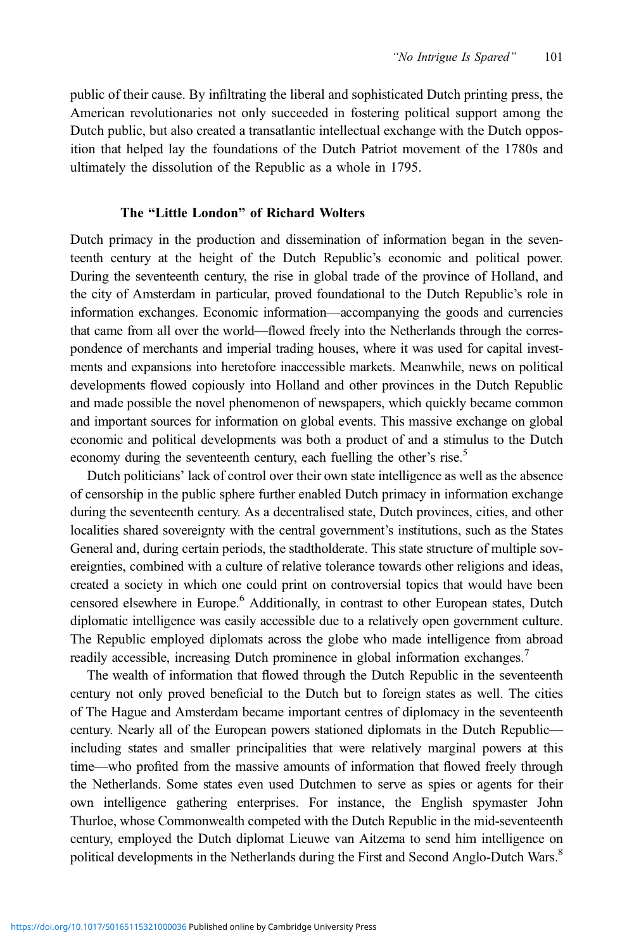public of their cause. By infiltrating the liberal and sophisticated Dutch printing press, the American revolutionaries not only succeeded in fostering political support among the Dutch public, but also created a transatlantic intellectual exchange with the Dutch opposition that helped lay the foundations of the Dutch Patriot movement of the 1780s and ultimately the dissolution of the Republic as a whole in 1795.

#### The "Little London" of Richard Wolters

Dutch primacy in the production and dissemination of information began in the seventeenth century at the height of the Dutch Republic's economic and political power. During the seventeenth century, the rise in global trade of the province of Holland, and the city of Amsterdam in particular, proved foundational to the Dutch Republic's role in information exchanges. Economic information—accompanying the goods and currencies that came from all over the world—flowed freely into the Netherlands through the correspondence of merchants and imperial trading houses, where it was used for capital investments and expansions into heretofore inaccessible markets. Meanwhile, news on political developments flowed copiously into Holland and other provinces in the Dutch Republic and made possible the novel phenomenon of newspapers, which quickly became common and important sources for information on global events. This massive exchange on global economic and political developments was both a product of and a stimulus to the Dutch economy during the seventeenth century, each fuelling the other's rise.<sup>5</sup>

Dutch politicians' lack of control over their own state intelligence as well as the absence of censorship in the public sphere further enabled Dutch primacy in information exchange during the seventeenth century. As a decentralised state, Dutch provinces, cities, and other localities shared sovereignty with the central government's institutions, such as the States General and, during certain periods, the stadtholderate. This state structure of multiple sovereignties, combined with a culture of relative tolerance towards other religions and ideas, created a society in which one could print on controversial topics that would have been censored elsewhere in Europe.6 Additionally, in contrast to other European states, Dutch diplomatic intelligence was easily accessible due to a relatively open government culture. The Republic employed diplomats across the globe who made intelligence from abroad readily accessible, increasing Dutch prominence in global information exchanges.<sup>7</sup>

The wealth of information that flowed through the Dutch Republic in the seventeenth century not only proved beneficial to the Dutch but to foreign states as well. The cities of The Hague and Amsterdam became important centres of diplomacy in the seventeenth century. Nearly all of the European powers stationed diplomats in the Dutch Republic including states and smaller principalities that were relatively marginal powers at this time—who profited from the massive amounts of information that flowed freely through the Netherlands. Some states even used Dutchmen to serve as spies or agents for their own intelligence gathering enterprises. For instance, the English spymaster John Thurloe, whose Commonwealth competed with the Dutch Republic in the mid-seventeenth century, employed the Dutch diplomat Lieuwe van Aitzema to send him intelligence on political developments in the Netherlands during the First and Second Anglo-Dutch Wars.<sup>8</sup>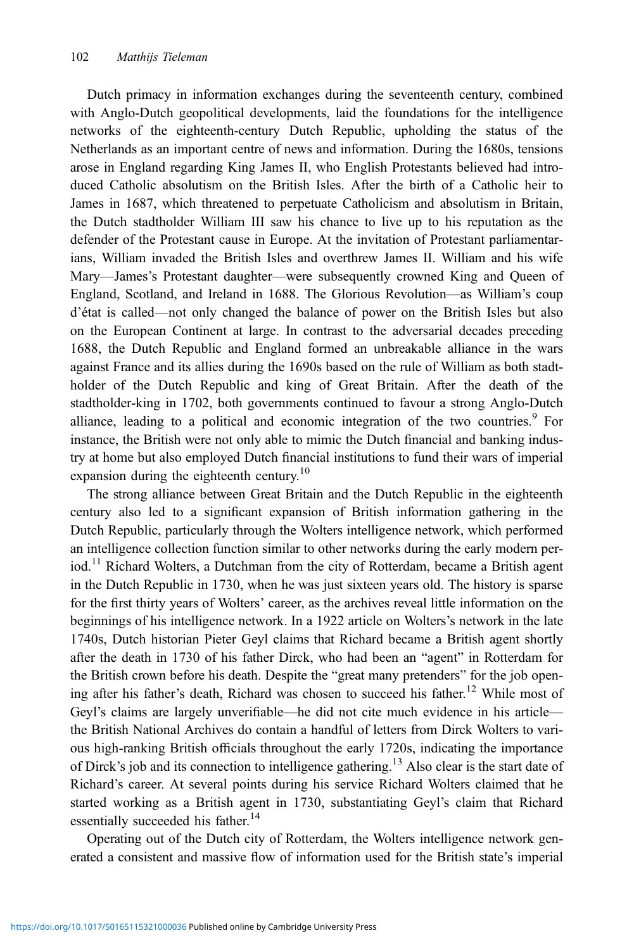Dutch primacy in information exchanges during the seventeenth century, combined with Anglo-Dutch geopolitical developments, laid the foundations for the intelligence networks of the eighteenth-century Dutch Republic, upholding the status of the Netherlands as an important centre of news and information. During the 1680s, tensions arose in England regarding King James II, who English Protestants believed had introduced Catholic absolutism on the British Isles. After the birth of a Catholic heir to James in 1687, which threatened to perpetuate Catholicism and absolutism in Britain, the Dutch stadtholder William III saw his chance to live up to his reputation as the defender of the Protestant cause in Europe. At the invitation of Protestant parliamentarians, William invaded the British Isles and overthrew James II. William and his wife Mary—James's Protestant daughter—were subsequently crowned King and Queen of England, Scotland, and Ireland in 1688. The Glorious Revolution—as William's coup d'état is called—not only changed the balance of power on the British Isles but also on the European Continent at large. In contrast to the adversarial decades preceding 1688, the Dutch Republic and England formed an unbreakable alliance in the wars against France and its allies during the 1690s based on the rule of William as both stadtholder of the Dutch Republic and king of Great Britain. After the death of the stadtholder-king in 1702, both governments continued to favour a strong Anglo-Dutch alliance, leading to a political and economic integration of the two countries.<sup>9</sup> For instance, the British were not only able to mimic the Dutch financial and banking industry at home but also employed Dutch financial institutions to fund their wars of imperial expansion during the eighteenth century.<sup>10</sup>

The strong alliance between Great Britain and the Dutch Republic in the eighteenth century also led to a significant expansion of British information gathering in the Dutch Republic, particularly through the Wolters intelligence network, which performed an intelligence collection function similar to other networks during the early modern period.<sup>11</sup> Richard Wolters, a Dutchman from the city of Rotterdam, became a British agent in the Dutch Republic in 1730, when he was just sixteen years old. The history is sparse for the first thirty years of Wolters' career, as the archives reveal little information on the beginnings of his intelligence network. In a 1922 article on Wolters's network in the late 1740s, Dutch historian Pieter Geyl claims that Richard became a British agent shortly after the death in 1730 of his father Dirck, who had been an "agent" in Rotterdam for the British crown before his death. Despite the "great many pretenders" for the job opening after his father's death, Richard was chosen to succeed his father.<sup>12</sup> While most of Geyl's claims are largely unverifiable—he did not cite much evidence in his article the British National Archives do contain a handful of letters from Dirck Wolters to various high-ranking British officials throughout the early 1720s, indicating the importance of Dirck's job and its connection to intelligence gathering.<sup>13</sup> Also clear is the start date of Richard's career. At several points during his service Richard Wolters claimed that he started working as a British agent in 1730, substantiating Geyl's claim that Richard essentially succeeded his father.<sup>14</sup>

Operating out of the Dutch city of Rotterdam, the Wolters intelligence network generated a consistent and massive flow of information used for the British state's imperial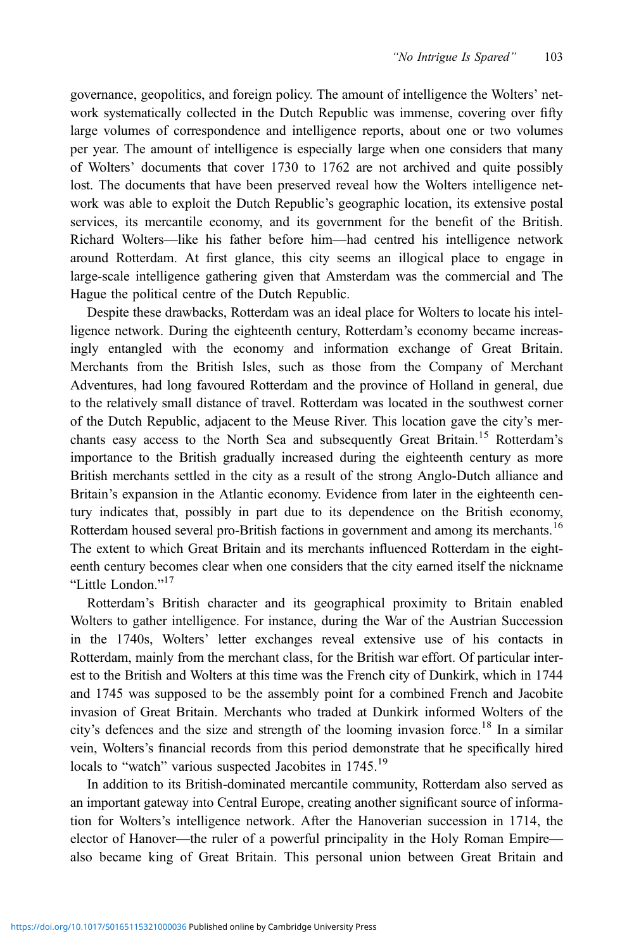governance, geopolitics, and foreign policy. The amount of intelligence the Wolters' network systematically collected in the Dutch Republic was immense, covering over fifty large volumes of correspondence and intelligence reports, about one or two volumes per year. The amount of intelligence is especially large when one considers that many of Wolters' documents that cover 1730 to 1762 are not archived and quite possibly lost. The documents that have been preserved reveal how the Wolters intelligence network was able to exploit the Dutch Republic's geographic location, its extensive postal services, its mercantile economy, and its government for the benefit of the British. Richard Wolters—like his father before him—had centred his intelligence network around Rotterdam. At first glance, this city seems an illogical place to engage in large-scale intelligence gathering given that Amsterdam was the commercial and The Hague the political centre of the Dutch Republic.

Despite these drawbacks, Rotterdam was an ideal place for Wolters to locate his intelligence network. During the eighteenth century, Rotterdam's economy became increasingly entangled with the economy and information exchange of Great Britain. Merchants from the British Isles, such as those from the Company of Merchant Adventures, had long favoured Rotterdam and the province of Holland in general, due to the relatively small distance of travel. Rotterdam was located in the southwest corner of the Dutch Republic, adjacent to the Meuse River. This location gave the city's merchants easy access to the North Sea and subsequently Great Britain.<sup>15</sup> Rotterdam's importance to the British gradually increased during the eighteenth century as more British merchants settled in the city as a result of the strong Anglo-Dutch alliance and Britain's expansion in the Atlantic economy. Evidence from later in the eighteenth century indicates that, possibly in part due to its dependence on the British economy, Rotterdam housed several pro-British factions in government and among its merchants.<sup>16</sup> The extent to which Great Britain and its merchants influenced Rotterdam in the eighteenth century becomes clear when one considers that the city earned itself the nickname "Little London." 17

Rotterdam's British character and its geographical proximity to Britain enabled Wolters to gather intelligence. For instance, during the War of the Austrian Succession in the 1740s, Wolters' letter exchanges reveal extensive use of his contacts in Rotterdam, mainly from the merchant class, for the British war effort. Of particular interest to the British and Wolters at this time was the French city of Dunkirk, which in 1744 and 1745 was supposed to be the assembly point for a combined French and Jacobite invasion of Great Britain. Merchants who traded at Dunkirk informed Wolters of the city's defences and the size and strength of the looming invasion force.<sup>18</sup> In a similar vein, Wolters's financial records from this period demonstrate that he specifically hired locals to "watch" various suspected Jacobites in 1745.<sup>19</sup>

In addition to its British-dominated mercantile community, Rotterdam also served as an important gateway into Central Europe, creating another significant source of information for Wolters's intelligence network. After the Hanoverian succession in 1714, the elector of Hanover—the ruler of a powerful principality in the Holy Roman Empire also became king of Great Britain. This personal union between Great Britain and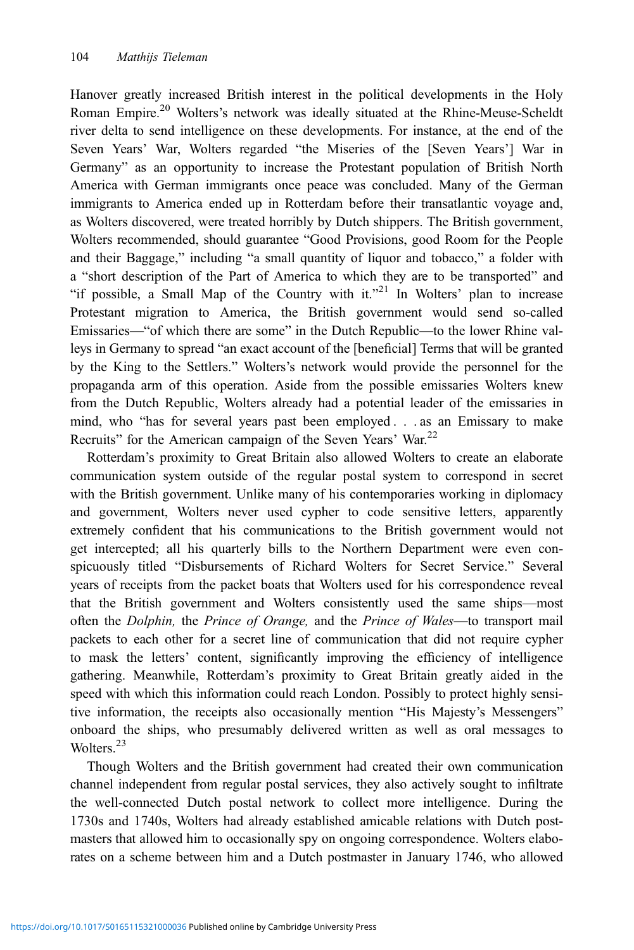Hanover greatly increased British interest in the political developments in the Holy Roman Empire.<sup>20</sup> Wolters's network was ideally situated at the Rhine-Meuse-Scheldt river delta to send intelligence on these developments. For instance, at the end of the Seven Years' War, Wolters regarded "the Miseries of the [Seven Years'] War in Germany" as an opportunity to increase the Protestant population of British North America with German immigrants once peace was concluded. Many of the German immigrants to America ended up in Rotterdam before their transatlantic voyage and, as Wolters discovered, were treated horribly by Dutch shippers. The British government, Wolters recommended, should guarantee "Good Provisions, good Room for the People and their Baggage," including "a small quantity of liquor and tobacco," a folder with a "short description of the Part of America to which they are to be transported" and "if possible, a Small Map of the Country with it."<sup>21</sup> In Wolters' plan to increase Protestant migration to America, the British government would send so-called Emissaries—"of which there are some" in the Dutch Republic—to the lower Rhine valleys in Germany to spread "an exact account of the [beneficial] Terms that will be granted by the King to the Settlers." Wolters's network would provide the personnel for the propaganda arm of this operation. Aside from the possible emissaries Wolters knew from the Dutch Republic, Wolters already had a potential leader of the emissaries in mind, who "has for several years past been employed . . . as an Emissary to make Recruits" for the American campaign of the Seven Years' War.<sup>22</sup>

Rotterdam's proximity to Great Britain also allowed Wolters to create an elaborate communication system outside of the regular postal system to correspond in secret with the British government. Unlike many of his contemporaries working in diplomacy and government, Wolters never used cypher to code sensitive letters, apparently extremely confident that his communications to the British government would not get intercepted; all his quarterly bills to the Northern Department were even conspicuously titled "Disbursements of Richard Wolters for Secret Service." Several years of receipts from the packet boats that Wolters used for his correspondence reveal that the British government and Wolters consistently used the same ships—most often the Dolphin, the Prince of Orange, and the Prince of Wales-to transport mail packets to each other for a secret line of communication that did not require cypher to mask the letters' content, significantly improving the efficiency of intelligence gathering. Meanwhile, Rotterdam's proximity to Great Britain greatly aided in the speed with which this information could reach London. Possibly to protect highly sensitive information, the receipts also occasionally mention "His Majesty's Messengers" onboard the ships, who presumably delivered written as well as oral messages to Wolters<sup>23</sup>

Though Wolters and the British government had created their own communication channel independent from regular postal services, they also actively sought to infiltrate the well-connected Dutch postal network to collect more intelligence. During the 1730s and 1740s, Wolters had already established amicable relations with Dutch postmasters that allowed him to occasionally spy on ongoing correspondence. Wolters elaborates on a scheme between him and a Dutch postmaster in January 1746, who allowed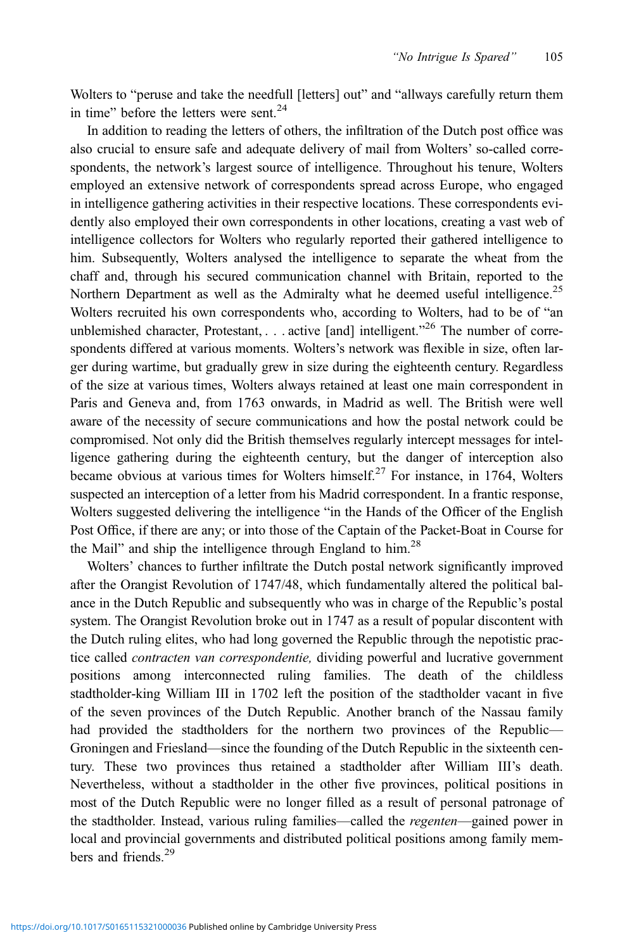Wolters to "peruse and take the needfull [letters] out" and "allways carefully return them in time" before the letters were sent. $24$ 

In addition to reading the letters of others, the infiltration of the Dutch post office was also crucial to ensure safe and adequate delivery of mail from Wolters' so-called correspondents, the network's largest source of intelligence. Throughout his tenure, Wolters employed an extensive network of correspondents spread across Europe, who engaged in intelligence gathering activities in their respective locations. These correspondents evidently also employed their own correspondents in other locations, creating a vast web of intelligence collectors for Wolters who regularly reported their gathered intelligence to him. Subsequently, Wolters analysed the intelligence to separate the wheat from the chaff and, through his secured communication channel with Britain, reported to the Northern Department as well as the Admiralty what he deemed useful intelligence.<sup>25</sup> Wolters recruited his own correspondents who, according to Wolters, had to be of "an unblemished character, Protestant, . . . active [and] intelligent."<sup>26</sup> The number of correspondents differed at various moments. Wolters's network was flexible in size, often larger during wartime, but gradually grew in size during the eighteenth century. Regardless of the size at various times, Wolters always retained at least one main correspondent in Paris and Geneva and, from 1763 onwards, in Madrid as well. The British were well aware of the necessity of secure communications and how the postal network could be compromised. Not only did the British themselves regularly intercept messages for intelligence gathering during the eighteenth century, but the danger of interception also became obvious at various times for Wolters himself.<sup>27</sup> For instance, in 1764, Wolters suspected an interception of a letter from his Madrid correspondent. In a frantic response, Wolters suggested delivering the intelligence "in the Hands of the Officer of the English Post Office, if there are any; or into those of the Captain of the Packet-Boat in Course for the Mail" and ship the intelligence through England to him.<sup>28</sup>

Wolters' chances to further infiltrate the Dutch postal network significantly improved after the Orangist Revolution of 1747/48, which fundamentally altered the political balance in the Dutch Republic and subsequently who was in charge of the Republic's postal system. The Orangist Revolution broke out in 1747 as a result of popular discontent with the Dutch ruling elites, who had long governed the Republic through the nepotistic practice called *contracten van correspondentie*, dividing powerful and lucrative government positions among interconnected ruling families. The death of the childless stadtholder-king William III in 1702 left the position of the stadtholder vacant in five of the seven provinces of the Dutch Republic. Another branch of the Nassau family had provided the stadtholders for the northern two provinces of the Republic— Groningen and Friesland—since the founding of the Dutch Republic in the sixteenth century. These two provinces thus retained a stadtholder after William III's death. Nevertheless, without a stadtholder in the other five provinces, political positions in most of the Dutch Republic were no longer filled as a result of personal patronage of the stadtholder. Instead, various ruling families—called the regenten—gained power in local and provincial governments and distributed political positions among family members and friends<sup>29</sup>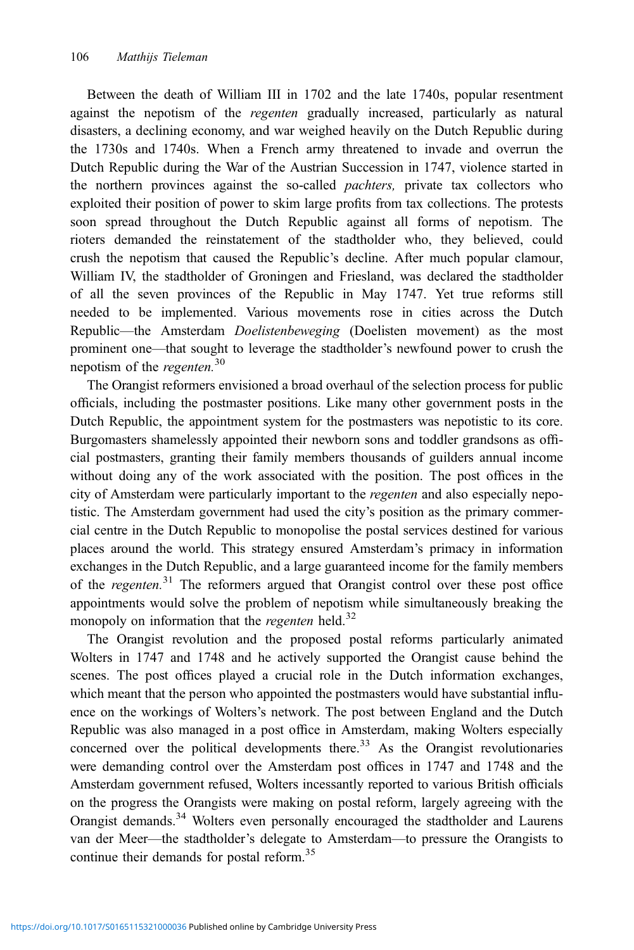Between the death of William III in 1702 and the late 1740s, popular resentment against the nepotism of the *regenten* gradually increased, particularly as natural disasters, a declining economy, and war weighed heavily on the Dutch Republic during the 1730s and 1740s. When a French army threatened to invade and overrun the Dutch Republic during the War of the Austrian Succession in 1747, violence started in the northern provinces against the so-called *pachters*, private tax collectors who exploited their position of power to skim large profits from tax collections. The protests soon spread throughout the Dutch Republic against all forms of nepotism. The rioters demanded the reinstatement of the stadtholder who, they believed, could crush the nepotism that caused the Republic's decline. After much popular clamour, William IV, the stadtholder of Groningen and Friesland, was declared the stadtholder of all the seven provinces of the Republic in May 1747. Yet true reforms still needed to be implemented. Various movements rose in cities across the Dutch Republic—the Amsterdam Doelistenbeweging (Doelisten movement) as the most prominent one—that sought to leverage the stadtholder's newfound power to crush the nepotism of the *regenten*.<sup>30</sup>

The Orangist reformers envisioned a broad overhaul of the selection process for public officials, including the postmaster positions. Like many other government posts in the Dutch Republic, the appointment system for the postmasters was nepotistic to its core. Burgomasters shamelessly appointed their newborn sons and toddler grandsons as official postmasters, granting their family members thousands of guilders annual income without doing any of the work associated with the position. The post offices in the city of Amsterdam were particularly important to the *regenten* and also especially nepotistic. The Amsterdam government had used the city's position as the primary commercial centre in the Dutch Republic to monopolise the postal services destined for various places around the world. This strategy ensured Amsterdam's primacy in information exchanges in the Dutch Republic, and a large guaranteed income for the family members of the regenten.<sup>31</sup> The reformers argued that Orangist control over these post office appointments would solve the problem of nepotism while simultaneously breaking the monopoly on information that the regenten held.<sup>32</sup>

The Orangist revolution and the proposed postal reforms particularly animated Wolters in 1747 and 1748 and he actively supported the Orangist cause behind the scenes. The post offices played a crucial role in the Dutch information exchanges, which meant that the person who appointed the postmasters would have substantial influence on the workings of Wolters's network. The post between England and the Dutch Republic was also managed in a post office in Amsterdam, making Wolters especially concerned over the political developments there.<sup>33</sup> As the Orangist revolutionaries were demanding control over the Amsterdam post offices in 1747 and 1748 and the Amsterdam government refused, Wolters incessantly reported to various British officials on the progress the Orangists were making on postal reform, largely agreeing with the Orangist demands.<sup>34</sup> Wolters even personally encouraged the stadtholder and Laurens van der Meer—the stadtholder's delegate to Amsterdam—to pressure the Orangists to continue their demands for postal reform.<sup>35</sup>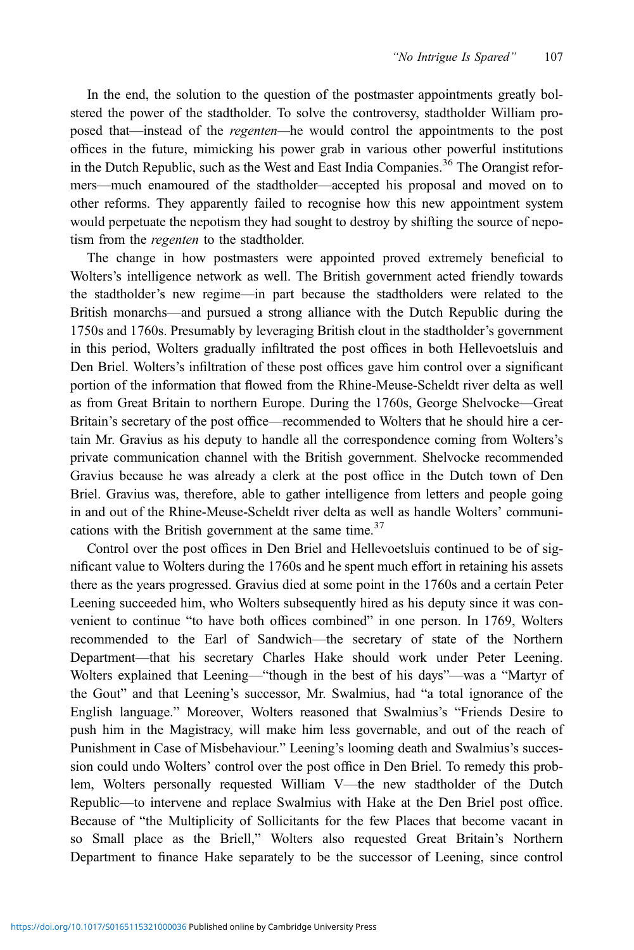In the end, the solution to the question of the postmaster appointments greatly bolstered the power of the stadtholder. To solve the controversy, stadtholder William proposed that—instead of the regenten—he would control the appointments to the post offices in the future, mimicking his power grab in various other powerful institutions in the Dutch Republic, such as the West and East India Companies.<sup>36</sup> The Orangist reformers—much enamoured of the stadtholder—accepted his proposal and moved on to other reforms. They apparently failed to recognise how this new appointment system would perpetuate the nepotism they had sought to destroy by shifting the source of nepotism from the *regenten* to the stadtholder.

The change in how postmasters were appointed proved extremely beneficial to Wolters's intelligence network as well. The British government acted friendly towards the stadtholder's new regime—in part because the stadtholders were related to the British monarchs—and pursued a strong alliance with the Dutch Republic during the 1750s and 1760s. Presumably by leveraging British clout in the stadtholder's government in this period, Wolters gradually infiltrated the post offices in both Hellevoetsluis and Den Briel. Wolters's infiltration of these post offices gave him control over a significant portion of the information that flowed from the Rhine-Meuse-Scheldt river delta as well as from Great Britain to northern Europe. During the 1760s, George Shelvocke—Great Britain's secretary of the post office—recommended to Wolters that he should hire a certain Mr. Gravius as his deputy to handle all the correspondence coming from Wolters's private communication channel with the British government. Shelvocke recommended Gravius because he was already a clerk at the post office in the Dutch town of Den Briel. Gravius was, therefore, able to gather intelligence from letters and people going in and out of the Rhine-Meuse-Scheldt river delta as well as handle Wolters' communications with the British government at the same time. $37$ 

Control over the post offices in Den Briel and Hellevoetsluis continued to be of significant value to Wolters during the 1760s and he spent much effort in retaining his assets there as the years progressed. Gravius died at some point in the 1760s and a certain Peter Leening succeeded him, who Wolters subsequently hired as his deputy since it was convenient to continue "to have both offices combined" in one person. In 1769, Wolters recommended to the Earl of Sandwich—the secretary of state of the Northern Department—that his secretary Charles Hake should work under Peter Leening. Wolters explained that Leening—"though in the best of his days"—was a "Martyr of the Gout" and that Leening's successor, Mr. Swalmius, had "a total ignorance of the English language." Moreover, Wolters reasoned that Swalmius's "Friends Desire to push him in the Magistracy, will make him less governable, and out of the reach of Punishment in Case of Misbehaviour." Leening's looming death and Swalmius's succession could undo Wolters' control over the post office in Den Briel. To remedy this problem, Wolters personally requested William V—the new stadtholder of the Dutch Republic—to intervene and replace Swalmius with Hake at the Den Briel post office. Because of "the Multiplicity of Sollicitants for the few Places that become vacant in so Small place as the Briell," Wolters also requested Great Britain's Northern Department to finance Hake separately to be the successor of Leening, since control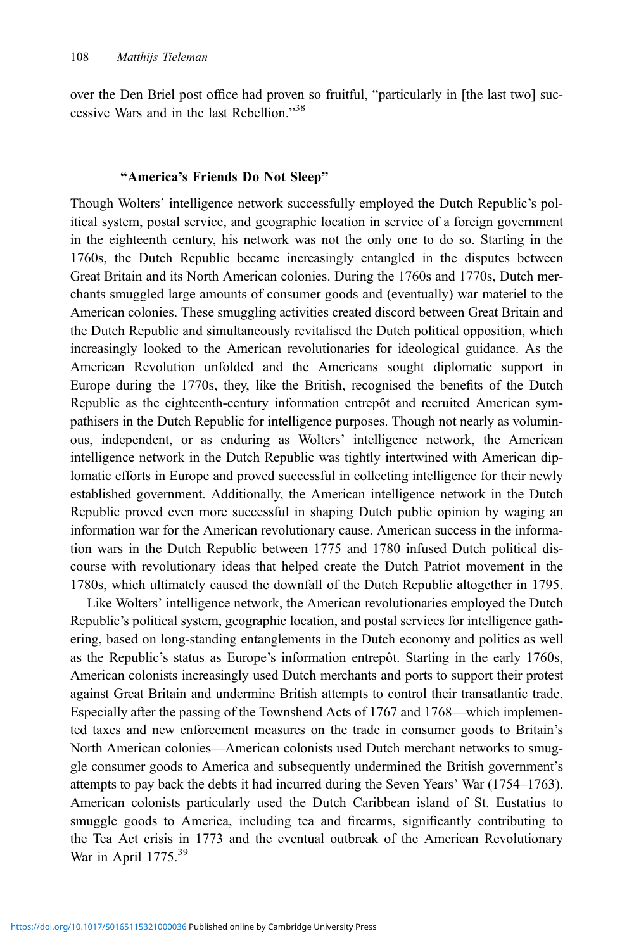over the Den Briel post office had proven so fruitful, "particularly in [the last two] successive Wars and in the last Rebellion." 38

#### "America's Friends Do Not Sleep"

Though Wolters' intelligence network successfully employed the Dutch Republic's political system, postal service, and geographic location in service of a foreign government in the eighteenth century, his network was not the only one to do so. Starting in the 1760s, the Dutch Republic became increasingly entangled in the disputes between Great Britain and its North American colonies. During the 1760s and 1770s, Dutch merchants smuggled large amounts of consumer goods and (eventually) war materiel to the American colonies. These smuggling activities created discord between Great Britain and the Dutch Republic and simultaneously revitalised the Dutch political opposition, which increasingly looked to the American revolutionaries for ideological guidance. As the American Revolution unfolded and the Americans sought diplomatic support in Europe during the 1770s, they, like the British, recognised the benefits of the Dutch Republic as the eighteenth-century information entrepôt and recruited American sympathisers in the Dutch Republic for intelligence purposes. Though not nearly as voluminous, independent, or as enduring as Wolters' intelligence network, the American intelligence network in the Dutch Republic was tightly intertwined with American diplomatic efforts in Europe and proved successful in collecting intelligence for their newly established government. Additionally, the American intelligence network in the Dutch Republic proved even more successful in shaping Dutch public opinion by waging an information war for the American revolutionary cause. American success in the information wars in the Dutch Republic between 1775 and 1780 infused Dutch political discourse with revolutionary ideas that helped create the Dutch Patriot movement in the 1780s, which ultimately caused the downfall of the Dutch Republic altogether in 1795.

Like Wolters' intelligence network, the American revolutionaries employed the Dutch Republic's political system, geographic location, and postal services for intelligence gathering, based on long-standing entanglements in the Dutch economy and politics as well as the Republic's status as Europe's information entrepôt. Starting in the early 1760s, American colonists increasingly used Dutch merchants and ports to support their protest against Great Britain and undermine British attempts to control their transatlantic trade. Especially after the passing of the Townshend Acts of 1767 and 1768—which implemented taxes and new enforcement measures on the trade in consumer goods to Britain's North American colonies—American colonists used Dutch merchant networks to smuggle consumer goods to America and subsequently undermined the British government's attempts to pay back the debts it had incurred during the Seven Years' War (1754–1763). American colonists particularly used the Dutch Caribbean island of St. Eustatius to smuggle goods to America, including tea and firearms, significantly contributing to the Tea Act crisis in 1773 and the eventual outbreak of the American Revolutionary War in April 1775.<sup>39</sup>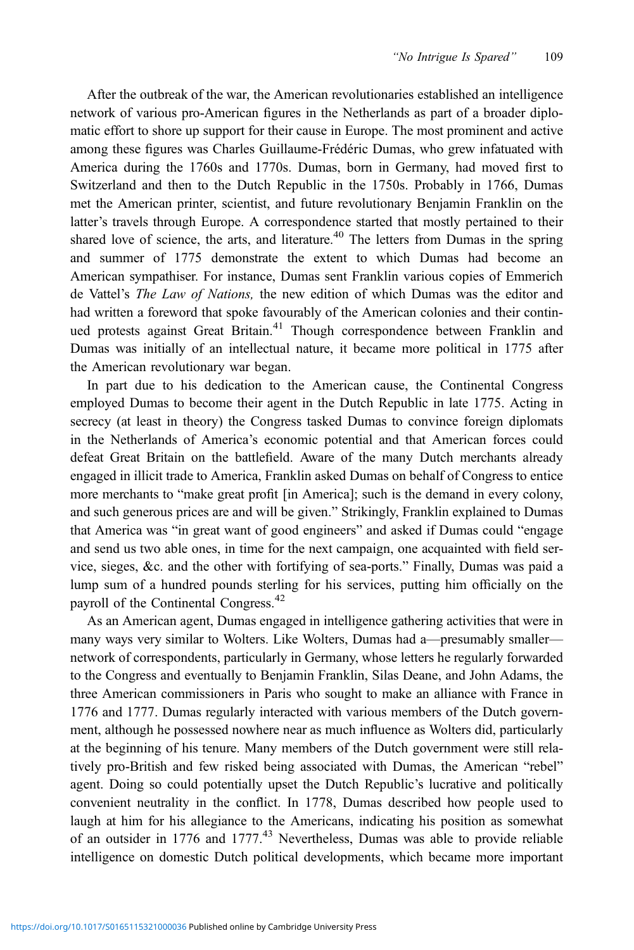After the outbreak of the war, the American revolutionaries established an intelligence network of various pro-American figures in the Netherlands as part of a broader diplomatic effort to shore up support for their cause in Europe. The most prominent and active among these figures was Charles Guillaume-Frédéric Dumas, who grew infatuated with America during the 1760s and 1770s. Dumas, born in Germany, had moved first to Switzerland and then to the Dutch Republic in the 1750s. Probably in 1766, Dumas met the American printer, scientist, and future revolutionary Benjamin Franklin on the latter's travels through Europe. A correspondence started that mostly pertained to their shared love of science, the arts, and literature.<sup>40</sup> The letters from Dumas in the spring and summer of 1775 demonstrate the extent to which Dumas had become an American sympathiser. For instance, Dumas sent Franklin various copies of Emmerich de Vattel's The Law of Nations, the new edition of which Dumas was the editor and had written a foreword that spoke favourably of the American colonies and their continued protests against Great Britain.<sup>41</sup> Though correspondence between Franklin and Dumas was initially of an intellectual nature, it became more political in 1775 after the American revolutionary war began.

In part due to his dedication to the American cause, the Continental Congress employed Dumas to become their agent in the Dutch Republic in late 1775. Acting in secrecy (at least in theory) the Congress tasked Dumas to convince foreign diplomats in the Netherlands of America's economic potential and that American forces could defeat Great Britain on the battlefield. Aware of the many Dutch merchants already engaged in illicit trade to America, Franklin asked Dumas on behalf of Congress to entice more merchants to "make great profit [in America]; such is the demand in every colony, and such generous prices are and will be given." Strikingly, Franklin explained to Dumas that America was "in great want of good engineers" and asked if Dumas could "engage and send us two able ones, in time for the next campaign, one acquainted with field service, sieges, &c. and the other with fortifying of sea-ports." Finally, Dumas was paid a lump sum of a hundred pounds sterling for his services, putting him officially on the payroll of the Continental Congress.<sup>42</sup>

As an American agent, Dumas engaged in intelligence gathering activities that were in many ways very similar to Wolters. Like Wolters, Dumas had a—presumably smaller network of correspondents, particularly in Germany, whose letters he regularly forwarded to the Congress and eventually to Benjamin Franklin, Silas Deane, and John Adams, the three American commissioners in Paris who sought to make an alliance with France in 1776 and 1777. Dumas regularly interacted with various members of the Dutch government, although he possessed nowhere near as much influence as Wolters did, particularly at the beginning of his tenure. Many members of the Dutch government were still relatively pro-British and few risked being associated with Dumas, the American "rebel" agent. Doing so could potentially upset the Dutch Republic's lucrative and politically convenient neutrality in the conflict. In 1778, Dumas described how people used to laugh at him for his allegiance to the Americans, indicating his position as somewhat of an outsider in 1776 and 1777. $43$  Nevertheless, Dumas was able to provide reliable intelligence on domestic Dutch political developments, which became more important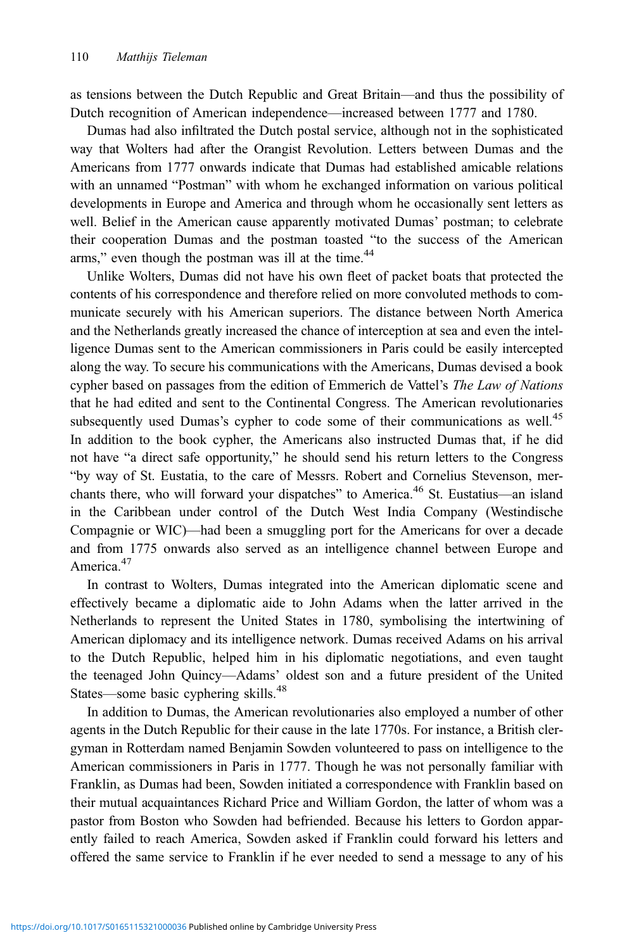as tensions between the Dutch Republic and Great Britain—and thus the possibility of Dutch recognition of American independence—increased between 1777 and 1780.

Dumas had also infiltrated the Dutch postal service, although not in the sophisticated way that Wolters had after the Orangist Revolution. Letters between Dumas and the Americans from 1777 onwards indicate that Dumas had established amicable relations with an unnamed "Postman" with whom he exchanged information on various political developments in Europe and America and through whom he occasionally sent letters as well. Belief in the American cause apparently motivated Dumas' postman; to celebrate their cooperation Dumas and the postman toasted "to the success of the American arms," even though the postman was ill at the time.<sup>44</sup>

Unlike Wolters, Dumas did not have his own fleet of packet boats that protected the contents of his correspondence and therefore relied on more convoluted methods to communicate securely with his American superiors. The distance between North America and the Netherlands greatly increased the chance of interception at sea and even the intelligence Dumas sent to the American commissioners in Paris could be easily intercepted along the way. To secure his communications with the Americans, Dumas devised a book cypher based on passages from the edition of Emmerich de Vattel's The Law of Nations that he had edited and sent to the Continental Congress. The American revolutionaries subsequently used Dumas's cypher to code some of their communications as well.<sup>45</sup> In addition to the book cypher, the Americans also instructed Dumas that, if he did not have "a direct safe opportunity," he should send his return letters to the Congress "by way of St. Eustatia, to the care of Messrs. Robert and Cornelius Stevenson, merchants there, who will forward your dispatches" to America.<sup>46</sup> St. Eustatius—an island in the Caribbean under control of the Dutch West India Company (Westindische Compagnie or WIC)—had been a smuggling port for the Americans for over a decade and from 1775 onwards also served as an intelligence channel between Europe and America.<sup>47</sup>

In contrast to Wolters, Dumas integrated into the American diplomatic scene and effectively became a diplomatic aide to John Adams when the latter arrived in the Netherlands to represent the United States in 1780, symbolising the intertwining of American diplomacy and its intelligence network. Dumas received Adams on his arrival to the Dutch Republic, helped him in his diplomatic negotiations, and even taught the teenaged John Quincy—Adams' oldest son and a future president of the United States—some basic cyphering skills.<sup>48</sup>

In addition to Dumas, the American revolutionaries also employed a number of other agents in the Dutch Republic for their cause in the late 1770s. For instance, a British clergyman in Rotterdam named Benjamin Sowden volunteered to pass on intelligence to the American commissioners in Paris in 1777. Though he was not personally familiar with Franklin, as Dumas had been, Sowden initiated a correspondence with Franklin based on their mutual acquaintances Richard Price and William Gordon, the latter of whom was a pastor from Boston who Sowden had befriended. Because his letters to Gordon apparently failed to reach America, Sowden asked if Franklin could forward his letters and offered the same service to Franklin if he ever needed to send a message to any of his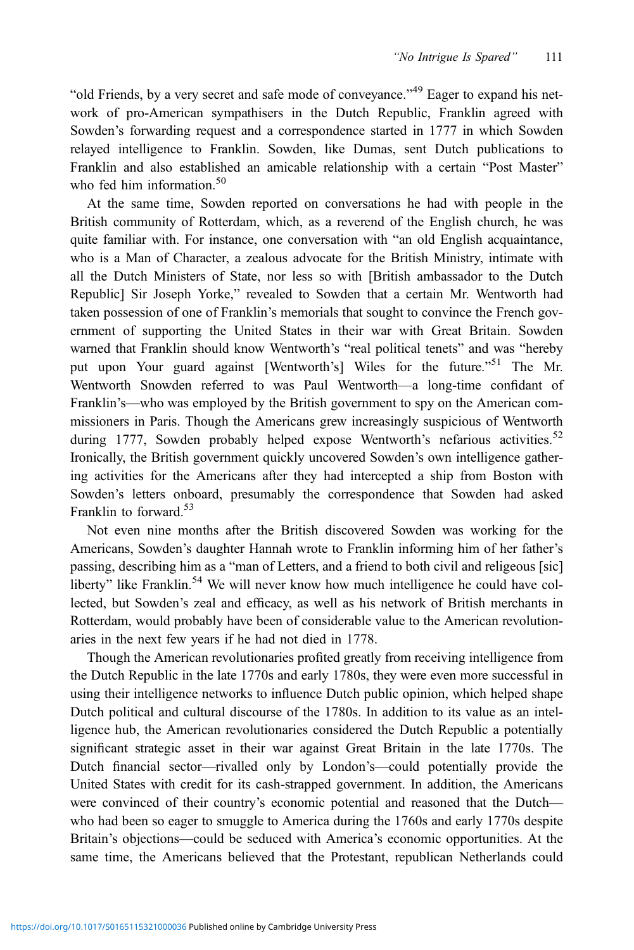"old Friends, by a very secret and safe mode of conveyance."<sup>49</sup> Eager to expand his network of pro-American sympathisers in the Dutch Republic, Franklin agreed with Sowden's forwarding request and a correspondence started in 1777 in which Sowden relayed intelligence to Franklin. Sowden, like Dumas, sent Dutch publications to Franklin and also established an amicable relationship with a certain "Post Master" who fed him information.<sup>50</sup>

At the same time, Sowden reported on conversations he had with people in the British community of Rotterdam, which, as a reverend of the English church, he was quite familiar with. For instance, one conversation with "an old English acquaintance, who is a Man of Character, a zealous advocate for the British Ministry, intimate with all the Dutch Ministers of State, nor less so with [British ambassador to the Dutch Republic] Sir Joseph Yorke," revealed to Sowden that a certain Mr. Wentworth had taken possession of one of Franklin's memorials that sought to convince the French government of supporting the United States in their war with Great Britain. Sowden warned that Franklin should know Wentworth's "real political tenets" and was "hereby put upon Your guard against [Wentworth's] Wiles for the future."<sup>51</sup> The Mr. Wentworth Snowden referred to was Paul Wentworth—a long-time confidant of Franklin's—who was employed by the British government to spy on the American commissioners in Paris. Though the Americans grew increasingly suspicious of Wentworth during 1777, Sowden probably helped expose Wentworth's nefarious activities.<sup>52</sup> Ironically, the British government quickly uncovered Sowden's own intelligence gathering activities for the Americans after they had intercepted a ship from Boston with Sowden's letters onboard, presumably the correspondence that Sowden had asked Franklin to forward.<sup>53</sup>

Not even nine months after the British discovered Sowden was working for the Americans, Sowden's daughter Hannah wrote to Franklin informing him of her father's passing, describing him as a "man of Letters, and a friend to both civil and religeous [sic] liberty" like Franklin.<sup>54</sup> We will never know how much intelligence he could have collected, but Sowden's zeal and efficacy, as well as his network of British merchants in Rotterdam, would probably have been of considerable value to the American revolutionaries in the next few years if he had not died in 1778.

Though the American revolutionaries profited greatly from receiving intelligence from the Dutch Republic in the late 1770s and early 1780s, they were even more successful in using their intelligence networks to influence Dutch public opinion, which helped shape Dutch political and cultural discourse of the 1780s. In addition to its value as an intelligence hub, the American revolutionaries considered the Dutch Republic a potentially significant strategic asset in their war against Great Britain in the late 1770s. The Dutch financial sector—rivalled only by London's—could potentially provide the United States with credit for its cash-strapped government. In addition, the Americans were convinced of their country's economic potential and reasoned that the Dutch who had been so eager to smuggle to America during the 1760s and early 1770s despite Britain's objections—could be seduced with America's economic opportunities. At the same time, the Americans believed that the Protestant, republican Netherlands could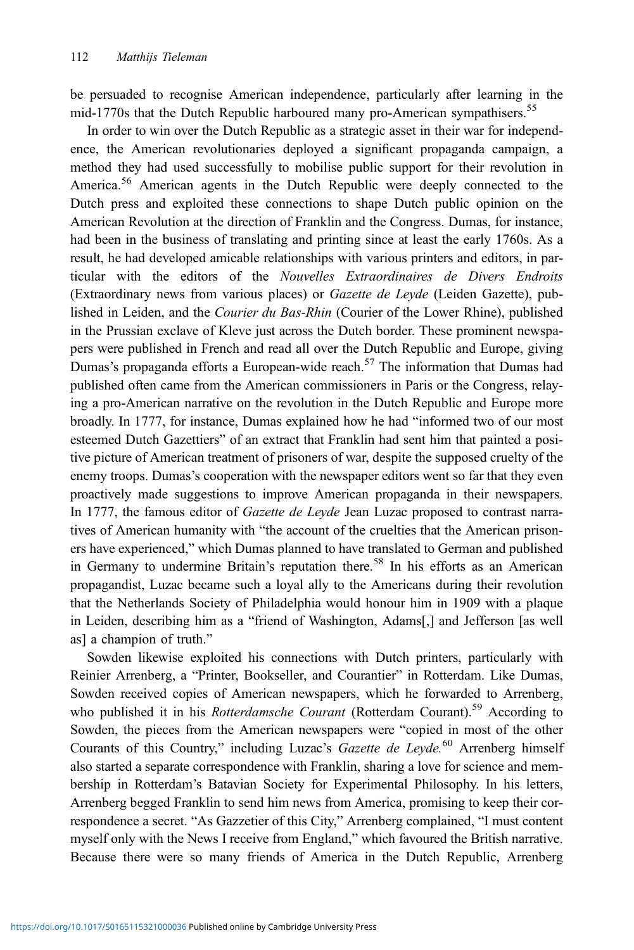be persuaded to recognise American independence, particularly after learning in the mid-1770s that the Dutch Republic harboured many pro-American sympathisers.<sup>55</sup>

In order to win over the Dutch Republic as a strategic asset in their war for independence, the American revolutionaries deployed a significant propaganda campaign, a method they had used successfully to mobilise public support for their revolution in America.<sup>56</sup> American agents in the Dutch Republic were deeply connected to the Dutch press and exploited these connections to shape Dutch public opinion on the American Revolution at the direction of Franklin and the Congress. Dumas, for instance, had been in the business of translating and printing since at least the early 1760s. As a result, he had developed amicable relationships with various printers and editors, in particular with the editors of the Nouvelles Extraordinaires de Divers Endroits (Extraordinary news from various places) or Gazette de Leyde (Leiden Gazette), published in Leiden, and the Courier du Bas-Rhin (Courier of the Lower Rhine), published in the Prussian exclave of Kleve just across the Dutch border. These prominent newspapers were published in French and read all over the Dutch Republic and Europe, giving Dumas's propaganda efforts a European-wide reach.<sup>57</sup> The information that Dumas had published often came from the American commissioners in Paris or the Congress, relaying a pro-American narrative on the revolution in the Dutch Republic and Europe more broadly. In 1777, for instance, Dumas explained how he had "informed two of our most esteemed Dutch Gazettiers" of an extract that Franklin had sent him that painted a positive picture of American treatment of prisoners of war, despite the supposed cruelty of the enemy troops. Dumas's cooperation with the newspaper editors went so far that they even proactively made suggestions to improve American propaganda in their newspapers. In 1777, the famous editor of *Gazette de Leyde* Jean Luzac proposed to contrast narratives of American humanity with "the account of the cruelties that the American prisoners have experienced," which Dumas planned to have translated to German and published in Germany to undermine Britain's reputation there.<sup>58</sup> In his efforts as an American propagandist, Luzac became such a loyal ally to the Americans during their revolution that the Netherlands Society of Philadelphia would honour him in 1909 with a plaque in Leiden, describing him as a "friend of Washington, Adams[,] and Jefferson [as well as] a champion of truth."

Sowden likewise exploited his connections with Dutch printers, particularly with Reinier Arrenberg, a "Printer, Bookseller, and Courantier" in Rotterdam. Like Dumas, Sowden received copies of American newspapers, which he forwarded to Arrenberg, who published it in his *Rotterdamsche Courant* (Rotterdam Courant).<sup>59</sup> According to Sowden, the pieces from the American newspapers were "copied in most of the other Courants of this Country," including Luzac's Gazette de Leyde.<sup>60</sup> Arrenberg himself also started a separate correspondence with Franklin, sharing a love for science and membership in Rotterdam's Batavian Society for Experimental Philosophy. In his letters, Arrenberg begged Franklin to send him news from America, promising to keep their correspondence a secret. "As Gazzetier of this City," Arrenberg complained, "I must content myself only with the News I receive from England," which favoured the British narrative. Because there were so many friends of America in the Dutch Republic, Arrenberg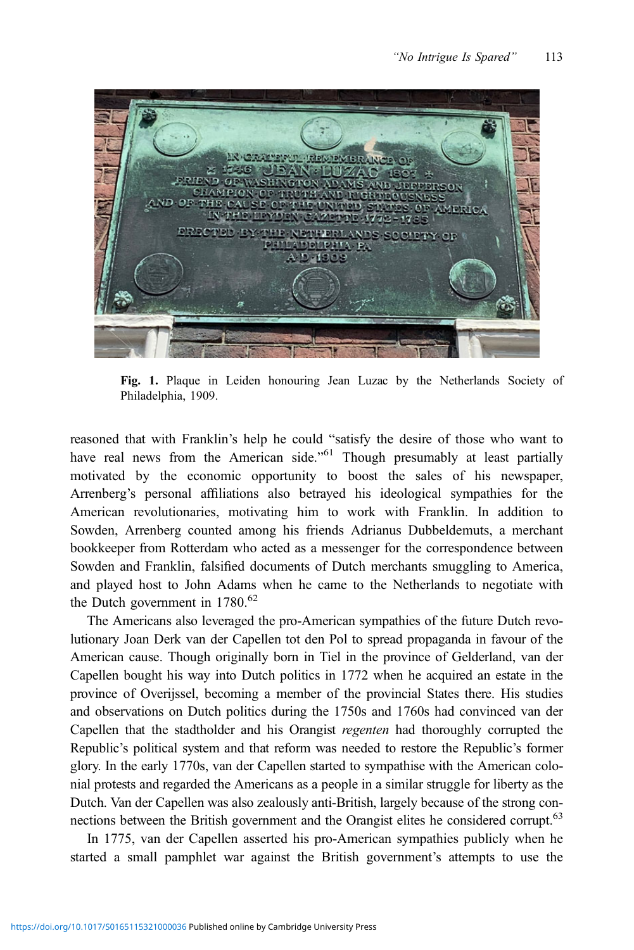

Fig. 1. Plaque in Leiden honouring Jean Luzac by the Netherlands Society of Philadelphia, 1909.

reasoned that with Franklin's help he could "satisfy the desire of those who want to have real news from the American side."<sup>61</sup> Though presumably at least partially motivated by the economic opportunity to boost the sales of his newspaper, Arrenberg's personal affiliations also betrayed his ideological sympathies for the American revolutionaries, motivating him to work with Franklin. In addition to Sowden, Arrenberg counted among his friends Adrianus Dubbeldemuts, a merchant bookkeeper from Rotterdam who acted as a messenger for the correspondence between Sowden and Franklin, falsified documents of Dutch merchants smuggling to America, and played host to John Adams when he came to the Netherlands to negotiate with the Dutch government in  $1780^{62}$ 

The Americans also leveraged the pro-American sympathies of the future Dutch revolutionary [Joan Derk van der Capellen tot den Pol](#page-19-0) to spread propaganda in favour of the American cause. Though originally born in Tiel in the province of Gelderland, van der Capellen bought his way into Dutch politics in 1772 when he acquired an estate in the province of Overijssel, becoming a member of the provincial States there. His studies and observations on Dutch politics during the 1750s and 1760s had convinced van der Capellen that the stadtholder and his Orangist regenten had thoroughly corrupted the Republic's political system and that reform was needed to restore the Republic's former glory. In the early 1770s, van der Capellen started to sympathise with the American colonial protests and regarded the Americans as a people in a similar struggle for liberty as the Dutch. Van der Capellen was also zealously anti-British, largely because of the strong connections between the British government and the Orangist elites he considered corrupt.<sup>63</sup>

In 1775, van der Capellen asserted his pro-American sympathies publicly when he started a small pamphlet war against the British government's attempts to use the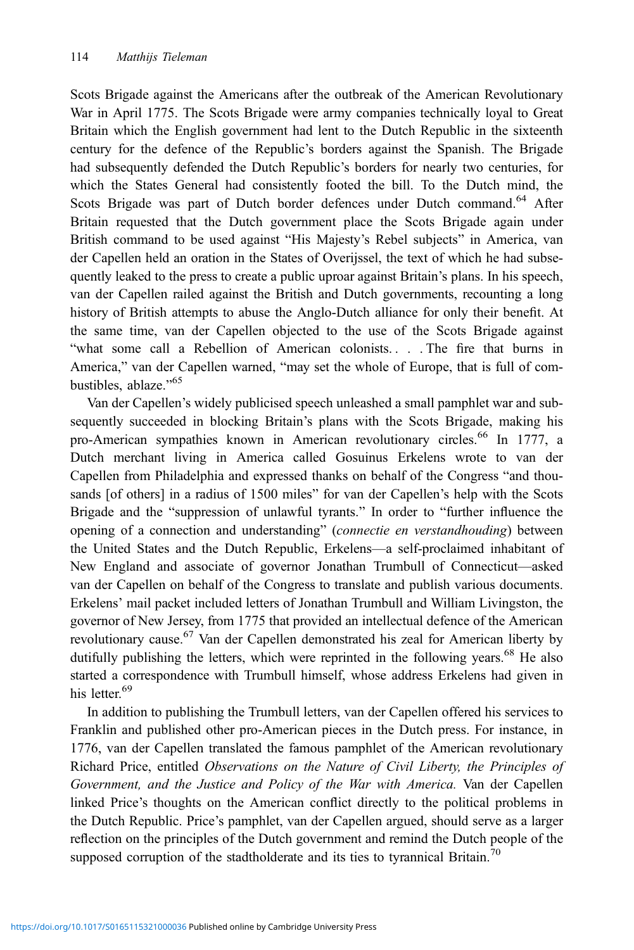Scots Brigade against the Americans after the outbreak of the American Revolutionary War in April 1775. The Scots Brigade were army companies technically loyal to Great Britain which the English government had lent to the Dutch Republic in the sixteenth century for the defence of the Republic's borders against the Spanish. The Brigade had subsequently defended the Dutch Republic's borders for nearly two centuries, for which the States General had consistently footed the bill. To the Dutch mind, the Scots Brigade was part of Dutch border defences under Dutch command.<sup>64</sup> After Britain requested that the Dutch government place the Scots Brigade again under British command to be used against "His Majesty's Rebel subjects" in America, van der Capellen held an oration in the States of Overijssel, the text of which he had subsequently leaked to the press to create a public uproar against Britain's plans. In his speech, van der Capellen railed against the British and Dutch governments, recounting a long history of British attempts to abuse the Anglo-Dutch alliance for only their benefit. At the same time, van der Capellen objected to the use of the Scots Brigade against "what some call a Rebellion of American colonists. . . . The fire that burns in America," van der Capellen warned, "may set the whole of Europe, that is full of combustibles, ablaze."<sup>65</sup>

Van der Capellen's widely publicised speech unleashed a small pamphlet war and subsequently succeeded in blocking Britain's plans with the Scots Brigade, making his pro-American sympathies known in American revolutionary circles.<sup>66</sup> In 1777, a Dutch merchant living in America called Gosuinus Erkelens wrote to van der Capellen from Philadelphia and expressed thanks on behalf of the Congress "and thousands [of others] in a radius of 1500 miles" for van der Capellen's help with the Scots Brigade and the "suppression of unlawful tyrants." In order to "further influence the opening of a connection and understanding" (connectie en verstandhouding) between the United States and the Dutch Republic, Erkelens—a self-proclaimed inhabitant of New England and associate of governor Jonathan Trumbull of Connecticut—asked van der Capellen on behalf of the Congress to translate and publish various documents. Erkelens' mail packet included letters of Jonathan Trumbull and William Livingston, the governor of New Jersey, from 1775 that provided an intellectual defence of the American revolutionary cause.<sup>67</sup> Van der Capellen demonstrated his zeal for American liberty by dutifully publishing the letters, which were reprinted in the following years. $68$  He also started a correspondence with Trumbull himself, whose address Erkelens had given in his letter.<sup>69</sup>

In addition to publishing the Trumbull letters, van der Capellen offered his services to Franklin and published other pro-American pieces in the Dutch press. For instance, in 1776, van der Capellen translated the famous pamphlet of the American revolutionary Richard Price, entitled Observations on the Nature of Civil Liberty, the Principles of Government, and the Justice and Policy of the War with America. Van der Capellen linked Price's thoughts on the American conflict directly to the political problems in the Dutch Republic. Price's pamphlet, van der Capellen argued, should serve as a larger reflection on the principles of the Dutch government and remind the Dutch people of the supposed corruption of the stadtholderate and its ties to tyrannical Britain.<sup>70</sup>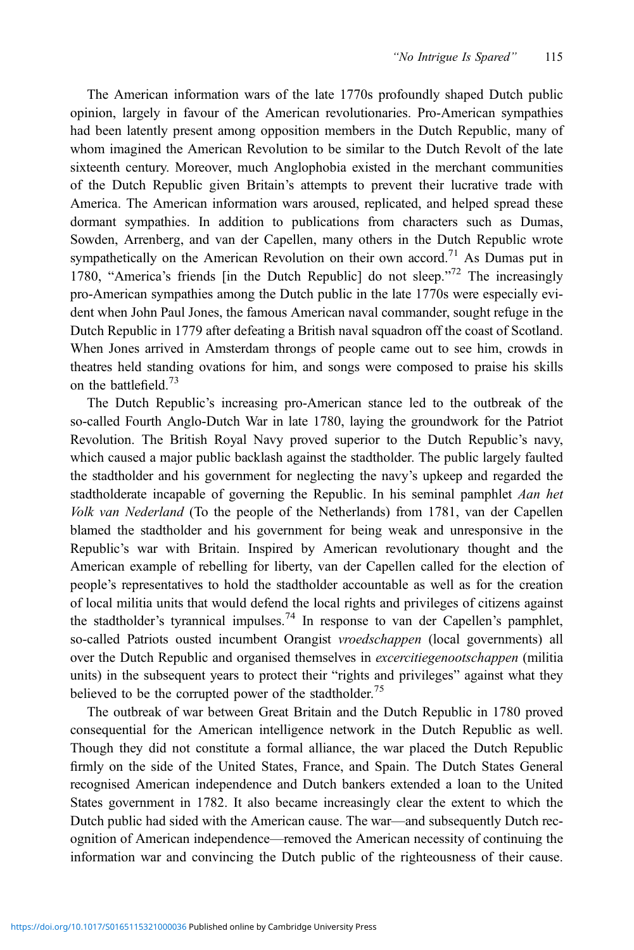The American information wars of the late 1770s profoundly shaped Dutch public opinion, largely in favour of the American revolutionaries. Pro-American sympathies had been latently present among opposition members in the Dutch Republic, many of whom imagined the American Revolution to be similar to the Dutch Revolt of the late sixteenth century. Moreover, much Anglophobia existed in the merchant communities of the Dutch Republic given Britain's attempts to prevent their lucrative trade with America. The American information wars aroused, replicated, and helped spread these dormant sympathies. In addition to publications from characters such as Dumas, Sowden, Arrenberg, and van der Capellen, many others in the Dutch Republic wrote sympathetically on the American Revolution on their own accord.<sup>71</sup> As Dumas put in 1780, "America's friends [in the Dutch Republic] do not sleep."<sup>72</sup> The increasingly pro-American sympathies among the Dutch public in the late 1770s were especially evident when John Paul Jones, the famous American naval commander, sought refuge in the Dutch Republic in 1779 after defeating a British naval squadron off the coast of Scotland. When Jones arrived in Amsterdam throngs of people came out to see him, crowds in theatres held standing ovations for him, and songs were composed to praise his skills on the battlefield.<sup>73</sup>

The Dutch Republic's increasing pro-American stance led to the outbreak of the so-called Fourth Anglo-Dutch War in late 1780, laying the groundwork for the Patriot Revolution. The British Royal Navy proved superior to the Dutch Republic's navy, which caused a major public backlash against the stadtholder. The public largely faulted the stadtholder and his government for neglecting the navy's upkeep and regarded the stadtholderate incapable of governing the Republic. In his seminal pamphlet Aan het Volk van Nederland (To the people of the Netherlands) from 1781, van der Capellen blamed the stadtholder and his government for being weak and unresponsive in the Republic's war with Britain. Inspired by American revolutionary thought and the American example of rebelling for liberty, van der Capellen called for the election of people's representatives to hold the stadtholder accountable as well as for the creation of local militia units that would defend the local rights and privileges of citizens against the stadtholder's tyrannical impulses.<sup>74</sup> In response to van der Capellen's pamphlet, so-called Patriots ousted incumbent Orangist vroedschappen (local governments) all over the Dutch Republic and organised themselves in *excercitiegenootschappen* (militia units) in the subsequent years to protect their "rights and privileges" against what they believed to be the corrupted power of the stadtholder.<sup>75</sup>

The outbreak of war between Great Britain and the Dutch Republic in 1780 proved consequential for the American intelligence network in the Dutch Republic as well. Though they did not constitute a formal alliance, the war placed the Dutch Republic firmly on the side of the United States, France, and Spain. The Dutch States General recognised American independence and Dutch bankers extended a loan to the United States government in 1782. It also became increasingly clear the extent to which the Dutch public had sided with the American cause. The war—and subsequently Dutch recognition of American independence—removed the American necessity of continuing the information war and convincing the Dutch public of the righteousness of their cause.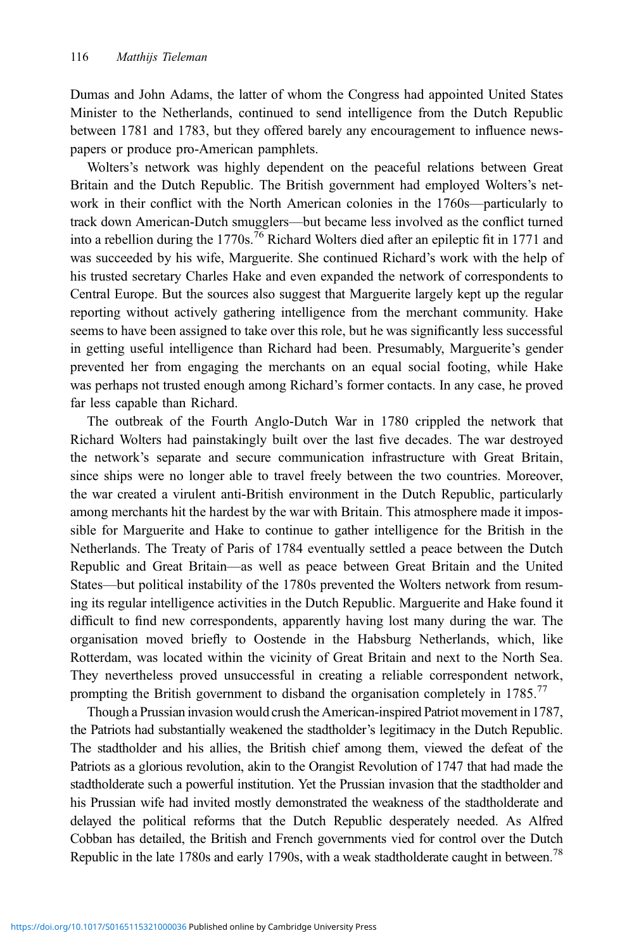Dumas and John Adams, the latter of whom the Congress had appointed United States Minister to the Netherlands, continued to send intelligence from the Dutch Republic between 1781 and 1783, but they offered barely any encouragement to influence newspapers or produce pro-American pamphlets.

Wolters's network was highly dependent on the peaceful relations between Great Britain and the Dutch Republic. The British government had employed Wolters's network in their conflict with the North American colonies in the 1760s—particularly to track down American-Dutch smugglers—but became less involved as the conflict turned into a rebellion during the 1770s.<sup>76</sup> Richard Wolters died after an epileptic fit in 1771 and was succeeded by his wife, Marguerite. She continued Richard's work with the help of his trusted secretary Charles Hake and even expanded the network of correspondents to Central Europe. But the sources also suggest that Marguerite largely kept up the regular reporting without actively gathering intelligence from the merchant community. Hake seems to have been assigned to take over this role, but he was significantly less successful in getting useful intelligence than Richard had been. Presumably, Marguerite's gender prevented her from engaging the merchants on an equal social footing, while Hake was perhaps not trusted enough among Richard's former contacts. In any case, he proved far less capable than Richard.

The outbreak of the Fourth Anglo-Dutch War in 1780 crippled the network that Richard Wolters had painstakingly built over the last five decades. The war destroyed the network's separate and secure communication infrastructure with Great Britain, since ships were no longer able to travel freely between the two countries. Moreover, the war created a virulent anti-British environment in the Dutch Republic, particularly among merchants hit the hardest by the war with Britain. This atmosphere made it impossible for Marguerite and Hake to continue to gather intelligence for the British in the Netherlands. The Treaty of Paris of 1784 eventually settled a peace between the Dutch Republic and Great Britain—as well as peace between Great Britain and the United States—but political instability of the 1780s prevented the Wolters network from resuming its regular intelligence activities in the Dutch Republic. Marguerite and Hake found it difficult to find new correspondents, apparently having lost many during the war. The organisation moved briefly to Oostende in the Habsburg Netherlands, which, like Rotterdam, was located within the vicinity of Great Britain and next to the North Sea. They nevertheless proved unsuccessful in creating a reliable correspondent network, prompting the British government to disband the organisation completely in 1785.<sup>77</sup>

Though a Prussian invasion would crush the American-inspired Patriot movement in 1787, the Patriots had substantially weakened the stadtholder's legitimacy in the Dutch Republic. The stadtholder and his allies, the British chief among them, viewed the defeat of the Patriots as a glorious revolution, akin to the Orangist Revolution of 1747 that had made the stadtholderate such a powerful institution. Yet the Prussian invasion that the stadtholder and his Prussian wife had invited mostly demonstrated the weakness of the stadtholderate and delayed the political reforms that the Dutch Republic desperately needed. As Alfred Cobban has detailed, the British and French governments vied for control over the Dutch Republic in the late 1780s and early 1790s, with a weak stadtholderate caught in between.<sup>78</sup>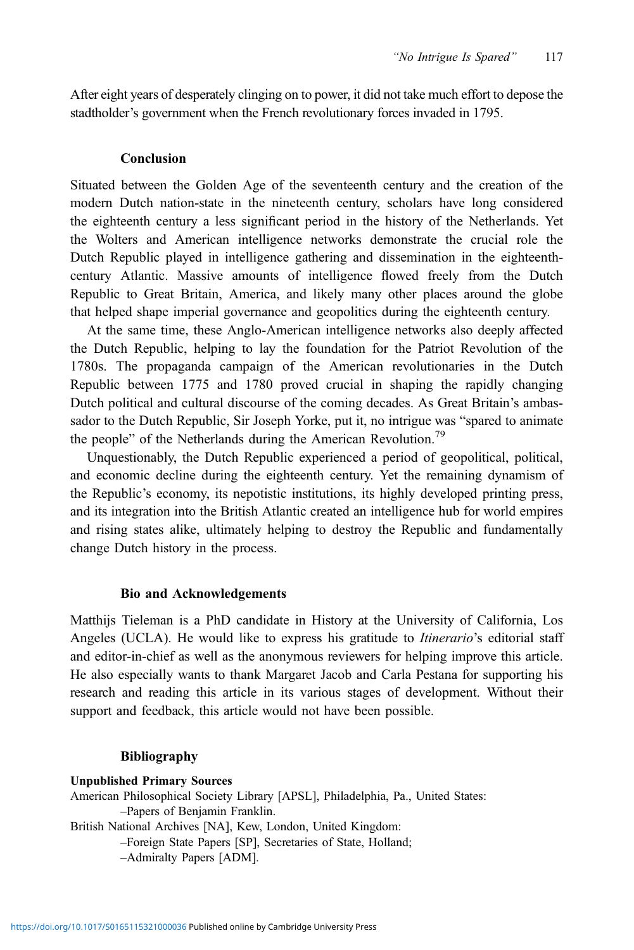After eight years of desperately clinging on to power, it did not take much effort to depose the stadtholder's government when the French revolutionary forces invaded in 1795.

#### Conclusion

Situated between the Golden Age of the seventeenth century and the creation of the modern Dutch nation-state in the nineteenth century, scholars have long considered the eighteenth century a less significant period in the history of the Netherlands. Yet the Wolters and American intelligence networks demonstrate the crucial role the Dutch Republic played in intelligence gathering and dissemination in the eighteenthcentury Atlantic. Massive amounts of intelligence flowed freely from the Dutch Republic to Great Britain, America, and likely many other places around the globe that helped shape imperial governance and geopolitics during the eighteenth century.

At the same time, these Anglo-American intelligence networks also deeply affected the Dutch Republic, helping to lay the foundation for the Patriot Revolution of the 1780s. The propaganda campaign of the American revolutionaries in the Dutch Republic between 1775 and 1780 proved crucial in shaping the rapidly changing Dutch political and cultural discourse of the coming decades. As Great Britain's ambassador to the Dutch Republic, Sir Joseph Yorke, put it, no intrigue was "spared to animate the people" of the Netherlands during the American Revolution.<sup>79</sup>

Unquestionably, the Dutch Republic experienced a period of geopolitical, political, and economic decline during the eighteenth century. Yet the remaining dynamism of the Republic's economy, its nepotistic institutions, its highly developed printing press, and its integration into the British Atlantic created an intelligence hub for world empires and rising states alike, ultimately helping to destroy the Republic and fundamentally change Dutch history in the process.

#### Bio and Acknowledgements

Matthijs Tieleman is a PhD candidate in History at the University of California, Los Angeles (UCLA). He would like to express his gratitude to *Itinerario*'s editorial staff and editor-in-chief as well as the anonymous reviewers for helping improve this article. He also especially wants to thank Margaret Jacob and Carla Pestana for supporting his research and reading this article in its various stages of development. Without their support and feedback, this article would not have been possible.

## Bibliography

Unpublished Primary Sources American Philosophical Society Library [APSL], Philadelphia, Pa., United States: –Papers of Benjamin Franklin. British National Archives [NA], Kew, London, United Kingdom: –Foreign State Papers [SP], Secretaries of State, Holland; –Admiralty Papers [ADM].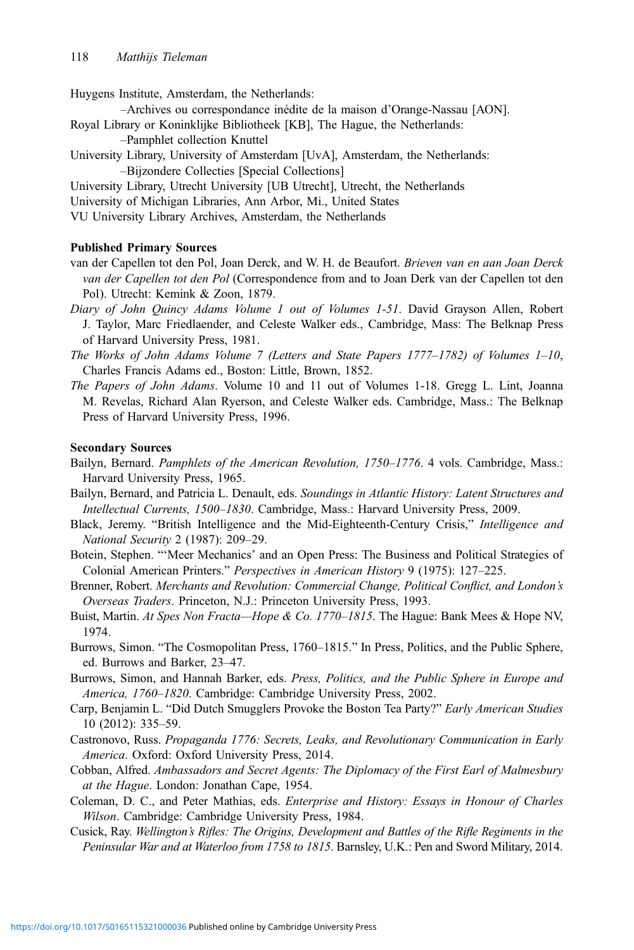<span id="page-19-0"></span>Huygens Institute, Amsterdam, the Netherlands:

- –Archives ou correspondance inédite de la maison d'Orange-Nassau [AON].
- Royal Library or Koninklijke Bibliotheek [KB], The Hague, the Netherlands:
	- –Pamphlet collection Knuttel
- University Library, University of Amsterdam [UvA], Amsterdam, the Netherlands: –Bijzondere Collecties [Special Collections]
- University Library, Utrecht University [UB Utrecht], Utrecht, the Netherlands
- University of Michigan Libraries, Ann Arbor, Mi., United States

VU University Library Archives, Amsterdam, the Netherlands

#### Published Primary Sources

- van der Capellen tot den Pol, Joan Derck, and W. H. de Beaufort. Brieven van en aan Joan Derck van der Capellen tot den Pol (Correspondence from and to Joan Derk van der Capellen tot den Pol). Utrecht: Kemink & Zoon, 1879.
- Diary of John Quincy Adams Volume 1 out of Volumes 1-51. David Grayson Allen, Robert J. Taylor, Marc Friedlaender, and Celeste Walker eds., Cambridge, Mass: The Belknap Press of Harvard University Press, 1981.
- The Works of John Adams Volume 7 (Letters and State Papers 1777–1782) of Volumes 1–10, Charles Francis Adams ed., Boston: Little, Brown, 1852.
- The Papers of John Adams. Volume 10 and 11 out of Volumes 1-18. Gregg L. Lint, Joanna M. Revelas, Richard Alan Ryerson, and Celeste Walker eds. Cambridge, Mass.: The Belknap Press of Harvard University Press, 1996.

## Secondary Sources

- Bailyn, Bernard. Pamphlets of the American Revolution, 1750–1776. 4 vols. Cambridge, Mass.: Harvard University Press, 1965.
- Bailyn, Bernard, and Patricia L. Denault, eds. Soundings in Atlantic History: Latent Structures and Intellectual Currents, 1500–1830. Cambridge, Mass.: Harvard University Press, 2009.
- Black, Jeremy. "British Intelligence and the Mid-Eighteenth-Century Crisis," *Intelligence and* National Security 2 (1987): 209–29.
- Botein, Stephen. "'Meer Mechanics' and an Open Press: The Business and Political Strategies of Colonial American Printers." Perspectives in American History 9 (1975): 127–225.
- Brenner, Robert. Merchants and Revolution: Commercial Change, Political Conflict, and London's Overseas Traders. Princeton, N.J.: Princeton University Press, 1993.
- Buist, Martin. At Spes Non Fracta—Hope & Co. 1770–1815. The Hague: Bank Mees & Hope NV, 1974.
- Burrows, Simon. "The Cosmopolitan Press, 1760–1815." In Press, Politics, and the Public Sphere, ed. Burrows and Barker, 23–47.
- Burrows, Simon, and Hannah Barker, eds. Press, Politics, and the Public Sphere in Europe and America, 1760–1820. Cambridge: Cambridge University Press, 2002.
- Carp, Benjamin L. "Did Dutch Smugglers Provoke the Boston Tea Party?" Early American Studies 10 (2012): 335–59.
- Castronovo, Russ. Propaganda 1776: Secrets, Leaks, and Revolutionary Communication in Early America. Oxford: Oxford University Press, 2014.
- Cobban, Alfred. Ambassadors and Secret Agents: The Diplomacy of the First Earl of Malmesbury at the Hague. London: Jonathan Cape, 1954.
- Coleman, D. C., and Peter Mathias, eds. Enterprise and History: Essays in Honour of Charles Wilson. Cambridge: Cambridge University Press, 1984.
- Cusick, Ray. Wellington's Rifles: The Origins, Development and Battles of the Rifle Regiments in the Peninsular War and at Waterloo from 1758 to 1815. Barnsley, U.K.: Pen and Sword Military, 2014.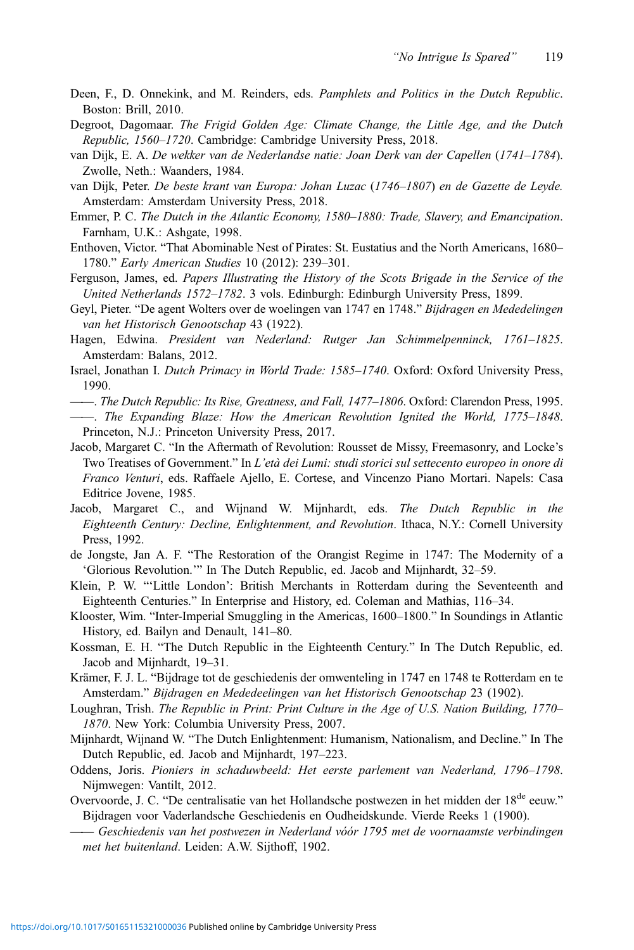- <span id="page-20-0"></span>Deen, F., D. Onnekink, and M. Reinders, eds. Pamphlets and Politics in the Dutch Republic. Boston: Brill, 2010.
- Degroot, Dagomaar. The Frigid Golden Age: Climate Change, the Little Age, and the Dutch Republic, 1560–1720. Cambridge: Cambridge University Press, 2018.
- van Dijk, E. A. De wekker van de Nederlandse natie: Joan Derk van der Capellen (1741–1784). Zwolle, Neth.: Waanders, 1984.
- van Dijk, Peter. De beste krant van Europa: Johan Luzac (1746–1807) en de Gazette de Leyde. Amsterdam: Amsterdam University Press, 2018.
- Emmer, P. C. The Dutch in the Atlantic Economy, 1580–1880: Trade, Slavery, and Emancipation. Farnham, U.K.: Ashgate, 1998.
- Enthoven, Victor. "That Abominable Nest of Pirates: St. Eustatius and the North Americans, 1680– 1780." Early American Studies 10 (2012): 239–301.
- Ferguson, James, ed. Papers Illustrating the History of the Scots Brigade in the Service of the United Netherlands 1572–1782. 3 vols. Edinburgh: Edinburgh University Press, 1899.
- Geyl, Pieter. "De agent Wolters over de woelingen van 1747 en 1748." Bijdragen en Mededelingen van het Historisch Genootschap 43 (1922).
- Hagen, Edwina. President van Nederland: Rutger Jan Schimmelpenninck, 1761–1825. Amsterdam: Balans, 2012.
- Israel, Jonathan I. Dutch Primacy in World Trade: 1585–1740. Oxford: Oxford University Press, 1990.
- ——. The Dutch Republic: Its Rise, Greatness, and Fall, 1477–1806. Oxford: Clarendon Press, 1995.
- ——. The Expanding Blaze: How the American Revolution Ignited the World, 1775–1848. Princeton, N.J.: Princeton University Press, 2017.
- Jacob, Margaret C. "In the Aftermath of Revolution: Rousset de Missy, Freemasonry, and Locke's Two Treatises of Government." In L'età dei Lumi: studi storici sul settecento europeo in onore di Franco Venturi, eds. Raffaele Ajello, E. Cortese, and Vincenzo Piano Mortari. Napels: Casa Editrice Jovene, 1985.
- Jacob, Margaret C., and Wijnand W. Mijnhardt, eds. The Dutch Republic in the Eighteenth Century: Decline, Enlightenment, and Revolution. Ithaca, N.Y.: Cornell University Press, 1992.
- de Jongste, Jan A. F. "The Restoration of the Orangist Regime in 1747: The Modernity of a 'Glorious Revolution.'" In The Dutch Republic, ed. Jacob and Mijnhardt, 32–59.
- Klein, P. W. "'Little London': British Merchants in Rotterdam during the Seventeenth and Eighteenth Centuries." In Enterprise and History, ed. Coleman and Mathias, 116–34.
- Klooster, Wim. "Inter-Imperial Smuggling in the Americas, 1600–1800." In Soundings in Atlantic History, ed. Bailyn and Denault, 141–80.
- Kossman, E. H. "The Dutch Republic in the Eighteenth Century." In The Dutch Republic, ed. Jacob and Mijnhardt, 19–31.
- Krämer, F. J. L. "Bijdrage tot de geschiedenis der omwenteling in 1747 en 1748 te Rotterdam en te Amsterdam." Bijdragen en Mededeelingen van het Historisch Genootschap 23 (1902).
- Loughran, Trish. The Republic in Print: Print Culture in the Age of U.S. Nation Building, 1770– 1870. New York: Columbia University Press, 2007.
- Mijnhardt, Wijnand W. "The Dutch Enlightenment: Humanism, Nationalism, and Decline." In The Dutch Republic, ed. Jacob and Mijnhardt, 197–223.
- Oddens, Joris. Pioniers in schaduwbeeld: Het eerste parlement van Nederland, 1796–1798. Nijmwegen: Vantilt, 2012.
- Overvoorde, J. C. "De centralisatie van het Hollandsche postwezen in het midden der 18<sup>de</sup> eeuw." Bijdragen voor Vaderlandsche Geschiedenis en Oudheidskunde. Vierde Reeks 1 (1900).
- —— Geschiedenis van het postwezen in Nederland vóór 1795 met de voornaamste verbindingen met het buitenland. Leiden: A.W. Sijthoff, 1902.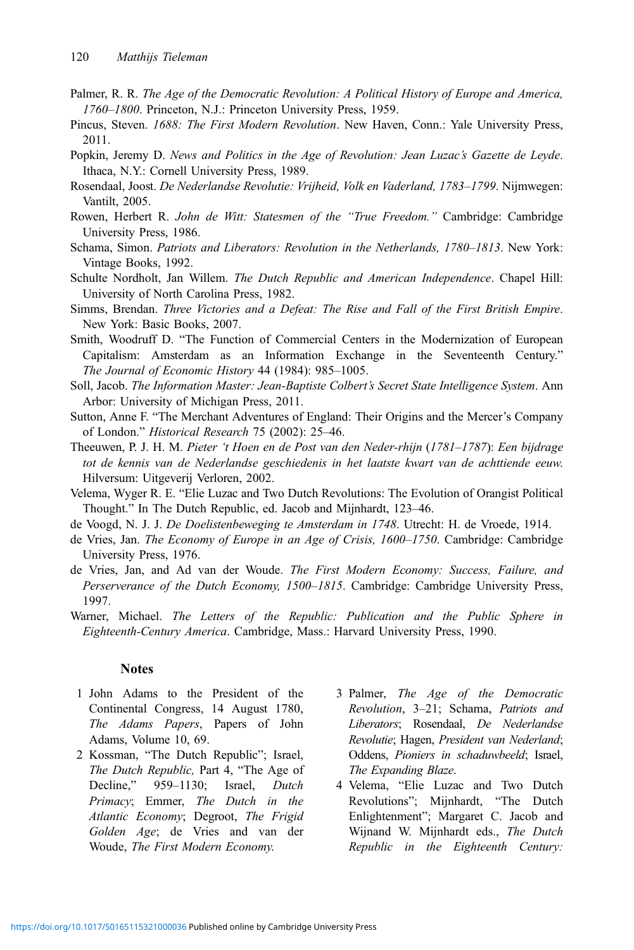- <span id="page-21-0"></span>Palmer, R. R. The Age of the Democratic Revolution: A Political History of Europe and America, 1760–1800. Princeton, N.J.: Princeton University Press, 1959.
- Pincus, Steven. 1688: The First Modern Revolution. New Haven, Conn.: Yale University Press, 2011.
- Popkin, Jeremy D. News and Politics in the Age of Revolution: Jean Luzac's Gazette de Leyde. Ithaca, N.Y.: Cornell University Press, 1989.
- Rosendaal, Joost. De Nederlandse Revolutie: Vrijheid, Volk en Vaderland, 1783–1799. Nijmwegen: Vantilt, 2005.
- Rowen, Herbert R. John de Witt: Statesmen of the "True Freedom." Cambridge: Cambridge University Press, 1986.
- Schama, Simon. Patriots and Liberators: Revolution in the Netherlands, 1780–1813. New York: Vintage Books, 1992.
- Schulte Nordholt, Jan Willem. The Dutch Republic and American Independence. Chapel Hill: University of North Carolina Press, 1982.
- Simms, Brendan. Three Victories and a Defeat: The Rise and Fall of the First British Empire. New York: Basic Books, 2007.
- Smith, Woodruff D. "The Function of Commercial Centers in the Modernization of European Capitalism: Amsterdam as an Information Exchange in the Seventeenth Century." The Journal of Economic History 44 (1984): 985–1005.
- Soll, Jacob. The Information Master: Jean-Baptiste Colbert's Secret State Intelligence System. Ann Arbor: University of Michigan Press, 2011.
- Sutton, Anne F. "The Merchant Adventures of England: Their Origins and the Mercer's Company of London." Historical Research 75 (2002): 25–46.
- Theeuwen, P. J. H. M. Pieter 't Hoen en de Post van den Neder-rhijn (1781–1787): Een bijdrage tot de kennis van de Nederlandse geschiedenis in het laatste kwart van de achttiende eeuw. Hilversum: Uitgeverij Verloren, 2002.
- Velema, Wyger R. E. "Elie Luzac and Two Dutch Revolutions: The Evolution of Orangist Political Thought." In The Dutch Republic, ed. Jacob and Mijnhardt, 123–46.
- de Voogd, N. J. J. De Doelistenbeweging te Amsterdam in 1748. Utrecht: H. de Vroede, 1914.
- de Vries, Jan. The Economy of Europe in an Age of Crisis, 1600-1750. Cambridge: Cambridge University Press, 1976.
- de Vries, Jan, and Ad van der Woude. The First Modern Economy: Success, Failure, and Perserverance of the Dutch Economy, 1500–1815. Cambridge: Cambridge University Press, 1997.
- Warner, Michael. The Letters of the Republic: Publication and the Public Sphere in Eighteenth-Century America. Cambridge, Mass.: Harvard University Press, 1990.

## **Notes**

- 1 John Adams to the President of the Continental Congress, 14 August 1780, The Adams Papers, Papers of John Adams, Volume 10, 69.
- 2 [Kossman](#page-20-0), "The Dutch Republic"; [Israel](#page-20-0), The Dutch Republic, Part 4, "The Age of Decline," 959–1130; [Israel,](#page-20-0) Dutch Primacy; [Emmer](#page-20-0), The Dutch in the Atlantic Economy; [Degroot,](#page-20-0) The Frigid Golden Age; de Vries and van der Woude, The First Modern Economy.
- 3 Palmer, The Age of the Democratic Revolution, 3–21; Schama, Patriots and Liberators; Rosendaal, De Nederlandse Revolutie; [Hagen](#page-20-0), President van Nederland; [Oddens](#page-20-0), Pioniers in schaduwbeeld; [Israel](#page-20-0), The Expanding Blaze.
- 4 Velema, "Elie Luzac and Two Dutch Revolutions"; [Mijnhardt,](#page-20-0) "The Dutch Enlightenment"; Margaret C. [Jacob and](#page-20-0) [Wijnand W. Mijnhardt](#page-20-0) eds., The Dutch Republic in the Eighteenth Century: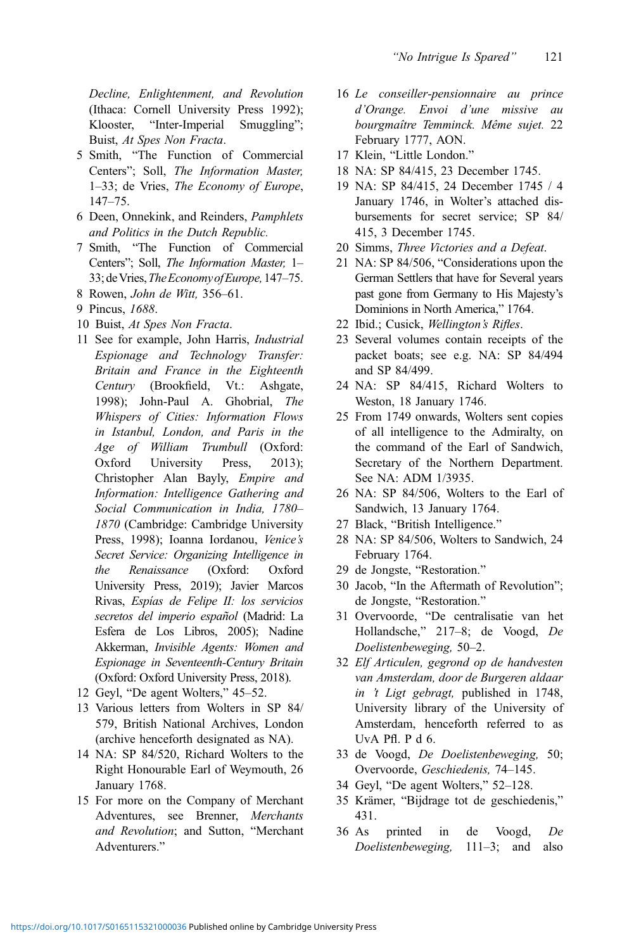Decline, Enlightenment, and Revolution (Ithaca: Cornell University Press 1992); [Klooster,](#page-20-0) "Inter-Imperial Smuggling"; [Buist](#page-19-0), At Spes Non Fracta.

- 5 [Smith](#page-21-0), "The Function of Commercial Centers"; [Soll,](#page-21-0) The Information Master, 1–33; [de Vries,](#page-21-0) The Economy of Europe, 147–75.
- 6 [Deen,](#page-20-0) Onnekink, and Reinders, Pamphlets and Politics in the Dutch Republic.
- 7 [Smith](#page-21-0), "The Function of Commercial Centers"; [Soll,](#page-21-0) The Information Master, 1– 33; de Vries, The Economy of Europe, 147–75.
- 8 [Rowen,](#page-21-0) John de Witt, 356–61.
- 9 [Pincus,](#page-21-0) 1688.
- 10 [Buist,](#page-19-0) At Spes Non Fracta.
- 11 See for example, John Harris, Industrial Espionage and Technology Transfer: Britain and France in the Eighteenth Century (Brookfield, Vt.: Ashgate, 1998); John-Paul A. Ghobrial, The Whispers of Cities: Information Flows in Istanbul, London, and Paris in the Age of William Trumbull (Oxford: Oxford University Press, 2013); Christopher Alan Bayly, Empire and Information: Intelligence Gathering and Social Communication in India, 1780– 1870 (Cambridge: Cambridge University Press, 1998); Ioanna Iordanou, Venice's Secret Service: Organizing Intelligence in the Renaissance (Oxford: Oxford University Press, 2019); Javier Marcos Rivas, Espías de Felipe II: los servicios secretos del imperio español (Madrid: La Esfera de Los Libros, 2005); Nadine Akkerman, Invisible Agents: Women and Espionage in Seventeenth-Century Britain (Oxford: Oxford University Press, 2018).
- 12 [Geyl](#page-20-0), "De agent Wolters," 45–52.
- 13 Various letters from Wolters in SP 84/ 579, British National Archives, London (archive henceforth designated as NA).
- 14 NA: SP 84/520, Richard Wolters to the Right Honourable Earl of Weymouth, 26 January 1768.
- 15 For more on the Company of Merchant Adventures, see [Brenner,](#page-19-0) Merchants and Revolution; and [Sutton,](#page-21-0) "Merchant Adventurers."
- 16 Le conseiller-pensionnaire au prince d'Orange. Envoi d'une missive au bourgmaître Temminck. Même sujet. 22 February 1777, AON.
- 17 [Klein](#page-20-0), "Little London."
- 18 NA: SP 84/415, 23 December 1745.
- 19 NA: SP 84/415, 24 December 1745 / 4 January 1746, in Wolter's attached disbursements for secret service; SP 84/ 415, 3 December 1745.
- 20 [Simms,](#page-21-0) Three Victories and a Defeat.
- 21 NA: SP 84/506, "Considerations upon the German Settlers that have for Several years past gone from Germany to His Majesty's Dominions in North America," 1764.
- 22 Ibid.; [Cusick](#page-19-0), Wellington's Rifles.
- 23 Several volumes contain receipts of the packet boats; see e.g. NA: SP 84/494 and SP 84/499.
- 24 NA: SP 84/415, Richard Wolters to Weston, 18 January 1746.
- 25 From 1749 onwards, Wolters sent copies of all intelligence to the Admiralty, on the command of the Earl of Sandwich, Secretary of the Northern Department. See NA: ADM 1/3935.
- 26 NA: SP 84/506, Wolters to the Earl of Sandwich, 13 January 1764.
- 27 [Black,](#page-19-0) "British Intelligence."
- 28 NA: SP 84/506, Wolters to Sandwich, 24 February 1764.
- 29 [de Jongste](#page-20-0), "Restoration."
- 30 [Jacob](#page-20-0), "In the Aftermath of Revolution"; [de Jongste](#page-20-0), "Restoration."
- 31 [Overvoorde,](#page-20-0) "De centralisatie van het Hollandsche," 217–8; [de Voogd](#page-21-0), De Doelistenbeweging, 50–2.
- 32 Elf Articulen, gegrond op de handvesten van Amsterdam, door de Burgeren aldaar in 't Ligt gebragt, published in 1748, University library of the University of Amsterdam, henceforth referred to as UvA Pfl. P d 6.
- 33 [de Voogd,](#page-21-0) De Doelistenbeweging, 50; [Overvoorde,](#page-20-0) Geschiedenis, 74–145.
- 34 [Geyl](#page-20-0), "De agent Wolters," 52–128.
- 35 [Krämer](#page-20-0), "Bijdrage tot de geschiedenis," 431.
- 36 As printed in [de Voogd](#page-21-0), De Doelistenbeweging, 111–3; and also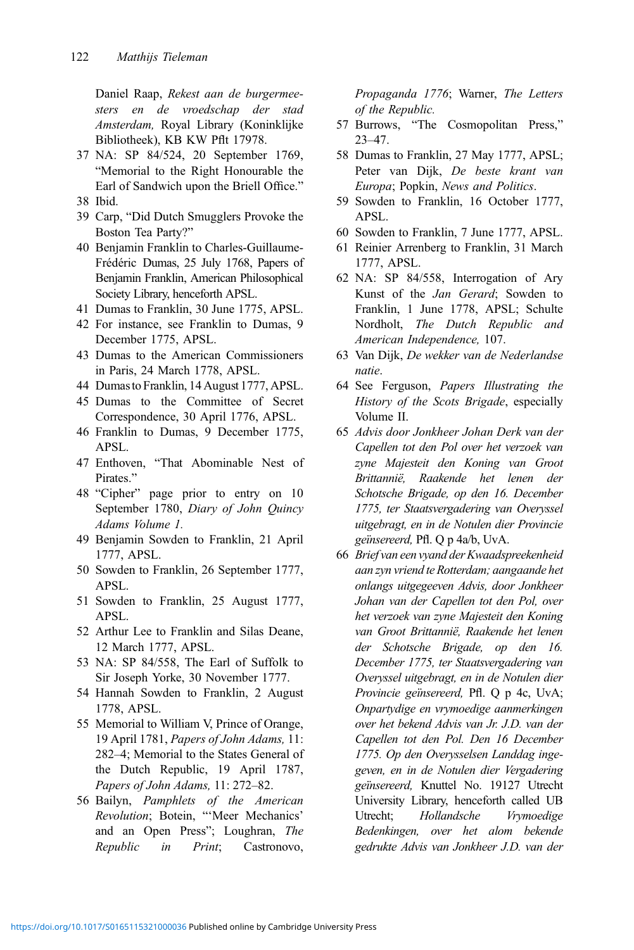Daniel Raap, Rekest aan de burgermeesters en de vroedschap der stad Amsterdam, Royal Library (Koninklijke Bibliotheek), KB KW Pflt 17978.

- 37 NA: SP 84/524, 20 September 1769, "Memorial to the Right Honourable the Earl of Sandwich upon the Briell Office."
- 38 Ibid.
- 39 [Carp,](#page-19-0) "Did Dutch Smugglers Provoke the Boston Tea Party?"
- 40 Benjamin Franklin to Charles-Guillaume-Frédéric Dumas, 25 July 1768, Papers of Benjamin Franklin, American Philosophical Society Library, henceforth APSL.
- 41 Dumas to Franklin, 30 June 1775, APSL.
- 42 For instance, see Franklin to Dumas, 9 December 1775, APSL.
- 43 Dumas to the American Commissioners in Paris, 24 March 1778, APSL.
- 44 Dumasto Franklin, 14 August 1777, APSL.
- 45 Dumas to the Committee of Secret Correspondence, 30 April 1776, APSL.
- 46 Franklin to Dumas, 9 December 1775, APSL.
- 47 [Enthoven](#page-20-0), "That Abominable Nest of Pirates."
- 48 "Cipher" page prior to entry on 10 September 1780, [Diary of John Quincy](#page-20-0) [Adams Volume 1](#page-20-0).
- 49 Benjamin Sowden to Franklin, 21 April 1777, APSL.
- 50 Sowden to Franklin, 26 September 1777, APSL.
- 51 Sowden to Franklin, 25 August 1777, APSL.
- 52 Arthur Lee to Franklin and Silas Deane, 12 March 1777, APSL.
- 53 NA: SP 84/558, The Earl of Suffolk to Sir Joseph Yorke, 30 November 1777.
- 54 Hannah Sowden to Franklin, 2 August 1778, APSL.
- 55 Memorial to William V, Prince of Orange, 19 April 1781, Papers of John Adams, 11: 282–4; Memorial to the States General of the Dutch Republic, 19 April 1787, Papers of John Adams, 11: 272–82.
- 56 [Bailyn](#page-19-0), Pamphlets of the American Revolution; [Botein,](#page-19-0) "'Meer Mechanics' and an Open Press"; [Loughran](#page-20-0), The Republic in Print; [Castronovo](#page-19-0),

Propaganda 1776; [Warner,](#page-21-0) The Letters of the Republic.

- 57 [Burrows,](#page-19-0) "The Cosmopolitan Press," 23–47.
- 58 Dumas to Franklin, 27 May 1777, APSL; Peter [van Dijk](#page-20-0), De beste krant van Europa; [Popkin](#page-21-0), News and Politics.
- 59 Sowden to Franklin, 16 October 1777, APSL.
- 60 Sowden to Franklin, 7 June 1777, APSL.
- 61 Reinier Arrenberg to Franklin, 31 March 1777, APSL.
- 62 NA: SP 84/558, Interrogation of Ary Kunst of the Jan Gerard; Sowden to Franklin, 1 June 1778, APSL; [Schulte](#page-21-0) [Nordholt,](#page-21-0) The Dutch Republic and American Independence, 107.
- 63 [Van Dijk](#page-20-0), De wekker van de Nederlandse natie.
- 64 See [Ferguson](#page-20-0), Papers Illustrating the History of the Scots Brigade, especially Volume II.
- 65 Advis door Jonkheer Johan Derk van der Capellen tot den Pol over het verzoek van zyne Majesteit den Koning van Groot Brittannië, Raakende het lenen der Schotsche Brigade, op den 16. December 1775, ter Staatsvergadering van Overyssel uitgebragt, en in de Notulen dier Provincie geïnsereerd, Pfl. Q p 4a/b, UvA.
- 66 Brief van een vyand der Kwaadspreekenheid aan zyn vriend te Rotterdam; aangaande het onlangs uitgegeeven Advis, door Jonkheer Johan van der Capellen tot den Pol, over het verzoek van zyne Majesteit den Koning van Groot Brittannië, Raakende het lenen der Schotsche Brigade, op den 16. December 1775, ter Staatsvergadering van Overyssel uitgebragt, en in de Notulen dier Provincie geïnsereerd, Pfl. Q p 4c, UvA; Onpartydige en vrymoedige aanmerkingen over het bekend Advis van Jr. J.D. van der Capellen tot den Pol. Den 16 December 1775. Op den Overysselsen Landdag ingegeven, en in de Notulen dier Vergadering geïnsereerd, Knuttel No. 19127 Utrecht University Library, henceforth called UB Utrecht; Hollandsche Vrymoedige Bedenkingen, over het alom bekende gedrukte Advis van Jonkheer J.D. van der